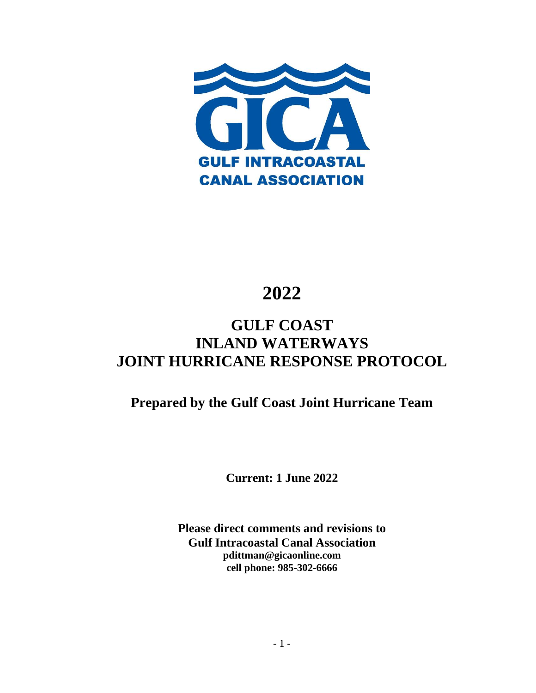

# **2022**

# **GULF COAST INLAND WATERWAYS JOINT HURRICANE RESPONSE PROTOCOL**

**Prepared by the Gulf Coast Joint Hurricane Team**

**Current: 1 June 2022**

**Please direct comments and revisions to Gulf Intracoastal Canal Association pdittman@gicaonline.com cell phone: 985-302-6666**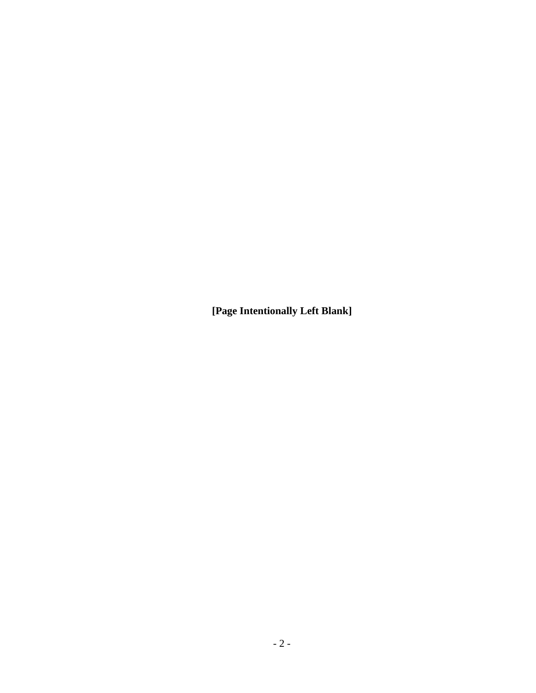**[Page Intentionally Left Blank]**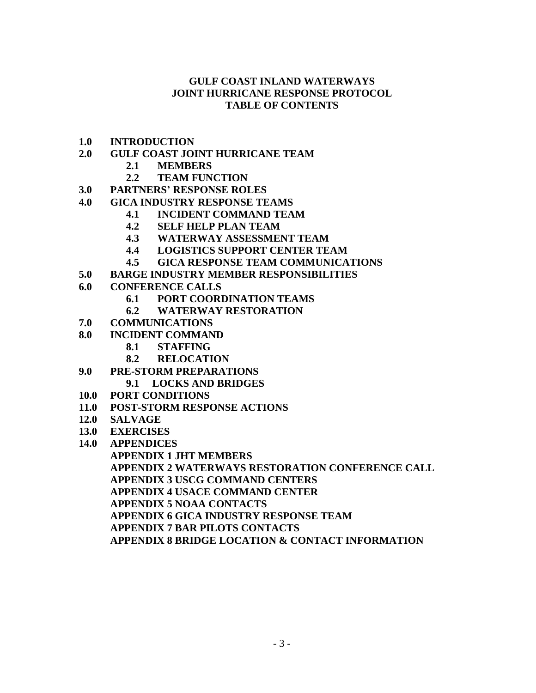### **GULF COAST INLAND WATERWAYS JOINT HURRICANE RESPONSE PROTOCOL TABLE OF CONTENTS**

- **1.0 INTRODUCTION**
- **2.0 GULF COAST JOINT HURRICANE TEAM**
	- **2.1 MEMBERS**
	- **2.2 TEAM FUNCTION**
- **3.0 PARTNERS' RESPONSE ROLES**
- **4.0 GICA INDUSTRY RESPONSE TEAMS**
	- **4.1 INCIDENT COMMAND TEAM**
		- **4.2 SELF HELP PLAN TEAM**
		- **4.3 WATERWAY ASSESSMENT TEAM**
		- **4.4 LOGISTICS SUPPORT CENTER TEAM**
		- **4.5 GICA RESPONSE TEAM COMMUNICATIONS**
- **5.0 BARGE INDUSTRY MEMBER RESPONSIBILITIES**
- **6.0 CONFERENCE CALLS**
	- **6.1 PORT COORDINATION TEAMS**
	- **6.2 WATERWAY RESTORATION**
- **7.0 COMMUNICATIONS**
- **8.0 INCIDENT COMMAND** 
	- **8.1 STAFFING**
	- **8.2 RELOCATION**
- **9.0 PRE-STORM PREPARATIONS**
	- **9.1 LOCKS AND BRIDGES**
- **10.0 PORT CONDITIONS**
- **11.0 POST-STORM RESPONSE ACTIONS**
- **12.0 SALVAGE**
- **13.0 EXERCISES**
- **14.0 APPENDICES**

**APPENDIX 1 JHT MEMBERS APPENDIX 2 WATERWAYS RESTORATION CONFERENCE CALL APPENDIX 3 USCG COMMAND CENTERS APPENDIX 4 USACE COMMAND CENTER APPENDIX 5 NOAA CONTACTS APPENDIX 6 GICA INDUSTRY RESPONSE TEAM APPENDIX 7 BAR PILOTS CONTACTS APPENDIX 8 BRIDGE LOCATION & CONTACT INFORMATION**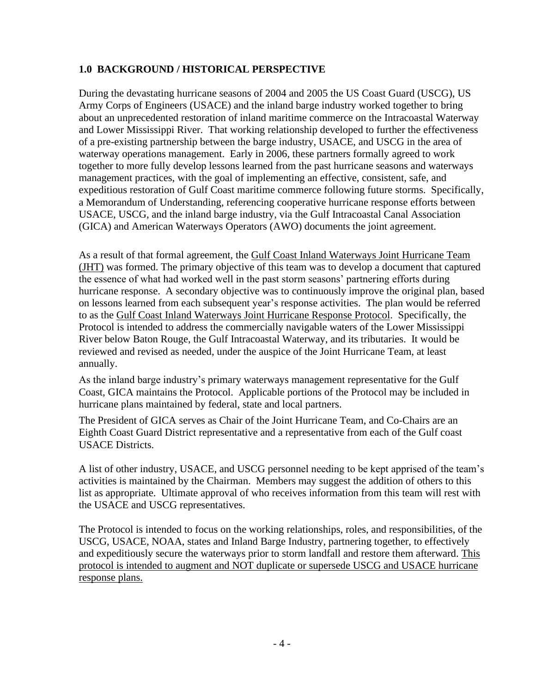# **1.0 BACKGROUND / HISTORICAL PERSPECTIVE**

During the devastating hurricane seasons of 2004 and 2005 the US Coast Guard (USCG), US Army Corps of Engineers (USACE) and the inland barge industry worked together to bring about an unprecedented restoration of inland maritime commerce on the Intracoastal Waterway and Lower Mississippi River. That working relationship developed to further the effectiveness of a pre-existing partnership between the barge industry, USACE, and USCG in the area of waterway operations management. Early in 2006, these partners formally agreed to work together to more fully develop lessons learned from the past hurricane seasons and waterways management practices, with the goal of implementing an effective, consistent, safe, and expeditious restoration of Gulf Coast maritime commerce following future storms. Specifically, a Memorandum of Understanding, referencing cooperative hurricane response efforts between USACE, USCG, and the inland barge industry, via the Gulf Intracoastal Canal Association (GICA) and American Waterways Operators (AWO) documents the joint agreement.

As a result of that formal agreement, the Gulf Coast Inland Waterways Joint Hurricane Team (JHT) was formed. The primary objective of this team was to develop a document that captured the essence of what had worked well in the past storm seasons' partnering efforts during hurricane response. A secondary objective was to continuously improve the original plan, based on lessons learned from each subsequent year's response activities. The plan would be referred to as the Gulf Coast Inland Waterways Joint Hurricane Response Protocol. Specifically, the Protocol is intended to address the commercially navigable waters of the Lower Mississippi River below Baton Rouge, the Gulf Intracoastal Waterway, and its tributaries. It would be reviewed and revised as needed, under the auspice of the Joint Hurricane Team, at least annually.

As the inland barge industry's primary waterways management representative for the Gulf Coast, GICA maintains the Protocol. Applicable portions of the Protocol may be included in hurricane plans maintained by federal, state and local partners.

The President of GICA serves as Chair of the Joint Hurricane Team, and Co-Chairs are an Eighth Coast Guard District representative and a representative from each of the Gulf coast USACE Districts.

A list of other industry, USACE, and USCG personnel needing to be kept apprised of the team's activities is maintained by the Chairman. Members may suggest the addition of others to this list as appropriate. Ultimate approval of who receives information from this team will rest with the USACE and USCG representatives.

The Protocol is intended to focus on the working relationships, roles, and responsibilities, of the USCG, USACE, NOAA, states and Inland Barge Industry, partnering together, to effectively and expeditiously secure the waterways prior to storm landfall and restore them afterward. This protocol is intended to augment and NOT duplicate or supersede USCG and USACE hurricane response plans.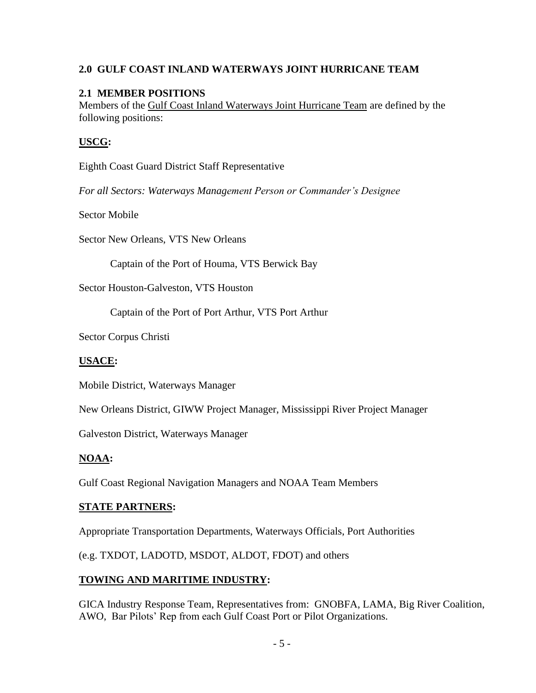# **2.0 GULF COAST INLAND WATERWAYS JOINT HURRICANE TEAM**

### **2.1 MEMBER POSITIONS**

Members of the Gulf Coast Inland Waterways Joint Hurricane Team are defined by the following positions:

# **USCG:**

Eighth Coast Guard District Staff Representative

*For all Sectors: Waterways Management Person or Commander's Designee*

Sector Mobile

Sector New Orleans, VTS New Orleans

Captain of the Port of Houma, VTS Berwick Bay

Sector Houston-Galveston, VTS Houston

Captain of the Port of Port Arthur, VTS Port Arthur

Sector Corpus Christi

### **USACE:**

Mobile District, Waterways Manager

New Orleans District, GIWW Project Manager, Mississippi River Project Manager

Galveston District, Waterways Manager

### **NOAA:**

Gulf Coast Regional Navigation Managers and NOAA Team Members

### **STATE PARTNERS:**

Appropriate Transportation Departments, Waterways Officials, Port Authorities

(e.g. TXDOT, LADOTD, MSDOT, ALDOT, FDOT) and others

### **TOWING AND MARITIME INDUSTRY:**

GICA Industry Response Team, Representatives from: GNOBFA, LAMA, Big River Coalition, AWO, Bar Pilots' Rep from each Gulf Coast Port or Pilot Organizations.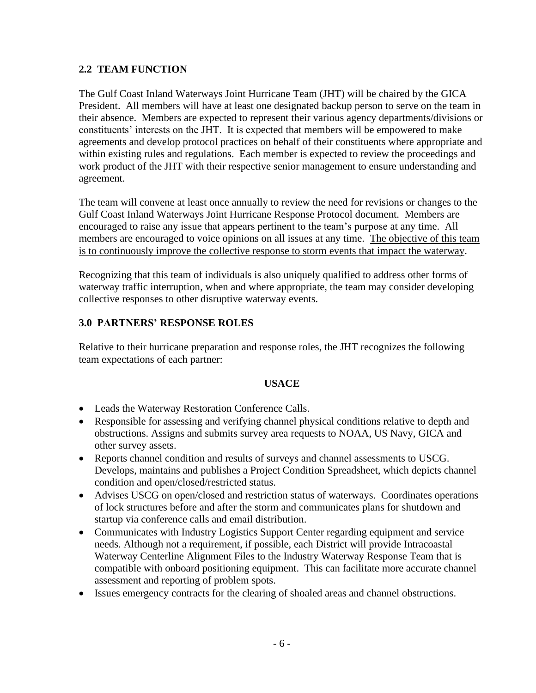# **2.2 TEAM FUNCTION**

The Gulf Coast Inland Waterways Joint Hurricane Team (JHT) will be chaired by the GICA President. All members will have at least one designated backup person to serve on the team in their absence. Members are expected to represent their various agency departments/divisions or constituents' interests on the JHT. It is expected that members will be empowered to make agreements and develop protocol practices on behalf of their constituents where appropriate and within existing rules and regulations. Each member is expected to review the proceedings and work product of the JHT with their respective senior management to ensure understanding and agreement.

The team will convene at least once annually to review the need for revisions or changes to the Gulf Coast Inland Waterways Joint Hurricane Response Protocol document. Members are encouraged to raise any issue that appears pertinent to the team's purpose at any time. All members are encouraged to voice opinions on all issues at any time. The objective of this team is to continuously improve the collective response to storm events that impact the waterway.

Recognizing that this team of individuals is also uniquely qualified to address other forms of waterway traffic interruption, when and where appropriate, the team may consider developing collective responses to other disruptive waterway events.

# **3.0 PARTNERS' RESPONSE ROLES**

Relative to their hurricane preparation and response roles, the JHT recognizes the following team expectations of each partner:

### **USACE**

- Leads the Waterway Restoration Conference Calls.
- Responsible for assessing and verifying channel physical conditions relative to depth and obstructions. Assigns and submits survey area requests to NOAA, US Navy, GICA and other survey assets.
- Reports channel condition and results of surveys and channel assessments to USCG. Develops, maintains and publishes a Project Condition Spreadsheet, which depicts channel condition and open/closed/restricted status.
- Advises USCG on open/closed and restriction status of waterways. Coordinates operations of lock structures before and after the storm and communicates plans for shutdown and startup via conference calls and email distribution.
- Communicates with Industry Logistics Support Center regarding equipment and service needs. Although not a requirement, if possible, each District will provide Intracoastal Waterway Centerline Alignment Files to the Industry Waterway Response Team that is compatible with onboard positioning equipment. This can facilitate more accurate channel assessment and reporting of problem spots.
- Issues emergency contracts for the clearing of shoaled areas and channel obstructions.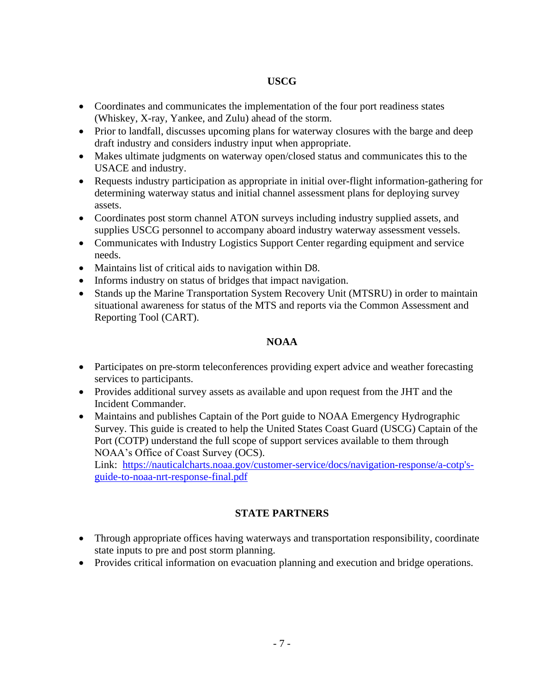# **USCG**

- Coordinates and communicates the implementation of the four port readiness states (Whiskey, X-ray, Yankee, and Zulu) ahead of the storm.
- Prior to landfall, discusses upcoming plans for waterway closures with the barge and deep draft industry and considers industry input when appropriate.
- Makes ultimate judgments on waterway open/closed status and communicates this to the USACE and industry.
- Requests industry participation as appropriate in initial over-flight information-gathering for determining waterway status and initial channel assessment plans for deploying survey assets.
- Coordinates post storm channel ATON surveys including industry supplied assets, and supplies USCG personnel to accompany aboard industry waterway assessment vessels.
- Communicates with Industry Logistics Support Center regarding equipment and service needs.
- Maintains list of critical aids to navigation within D8.
- Informs industry on status of bridges that impact navigation.
- Stands up the Marine Transportation System Recovery Unit (MTSRU) in order to maintain situational awareness for status of the MTS and reports via the Common Assessment and Reporting Tool (CART).

# **NOAA**

- Participates on pre-storm teleconferences providing expert advice and weather forecasting services to participants.
- Provides additional survey assets as available and upon request from the JHT and the Incident Commander.
- Maintains and publishes Captain of the Port guide to NOAA Emergency Hydrographic Survey. This guide is created to help the United States Coast Guard (USCG) Captain of the Port (COTP) understand the full scope of support services available to them through NOAA's Office of Coast Survey (OCS). Link: [https://nauticalcharts.noaa.gov/customer-service/docs/navigation-response/a-cotp's](https://nauticalcharts.noaa.gov/customer-service/docs/navigation-response/a-cotp)[guide-to-noaa-nrt-response-final.pdf](https://nauticalcharts.noaa.gov/customer-service/docs/navigation-response/a-cotp)

# **STATE PARTNERS**

- Through appropriate offices having waterways and transportation responsibility, coordinate state inputs to pre and post storm planning.
- Provides critical information on evacuation planning and execution and bridge operations.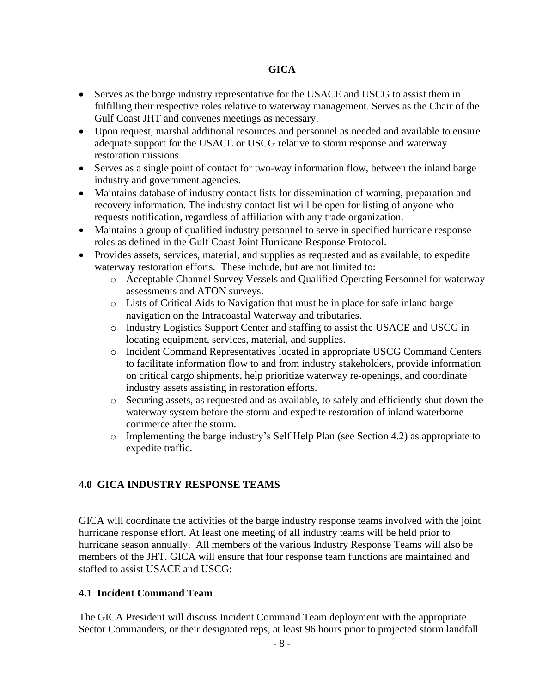### **GICA**

- Serves as the barge industry representative for the USACE and USCG to assist them in fulfilling their respective roles relative to waterway management. Serves as the Chair of the Gulf Coast JHT and convenes meetings as necessary.
- Upon request, marshal additional resources and personnel as needed and available to ensure adequate support for the USACE or USCG relative to storm response and waterway restoration missions.
- Serves as a single point of contact for two-way information flow, between the inland barge industry and government agencies.
- Maintains database of industry contact lists for dissemination of warning, preparation and recovery information. The industry contact list will be open for listing of anyone who requests notification, regardless of affiliation with any trade organization.
- Maintains a group of qualified industry personnel to serve in specified hurricane response roles as defined in the Gulf Coast Joint Hurricane Response Protocol.
- Provides assets, services, material, and supplies as requested and as available, to expedite waterway restoration efforts. These include, but are not limited to:
	- o Acceptable Channel Survey Vessels and Qualified Operating Personnel for waterway assessments and ATON surveys.
	- o Lists of Critical Aids to Navigation that must be in place for safe inland barge navigation on the Intracoastal Waterway and tributaries.
	- o Industry Logistics Support Center and staffing to assist the USACE and USCG in locating equipment, services, material, and supplies.
	- o Incident Command Representatives located in appropriate USCG Command Centers to facilitate information flow to and from industry stakeholders, provide information on critical cargo shipments, help prioritize waterway re-openings, and coordinate industry assets assisting in restoration efforts.
	- o Securing assets, as requested and as available, to safely and efficiently shut down the waterway system before the storm and expedite restoration of inland waterborne commerce after the storm.
	- o Implementing the barge industry's Self Help Plan (see Section 4.2) as appropriate to expedite traffic.

# **4.0 GICA INDUSTRY RESPONSE TEAMS**

GICA will coordinate the activities of the barge industry response teams involved with the joint hurricane response effort. At least one meeting of all industry teams will be held prior to hurricane season annually. All members of the various Industry Response Teams will also be members of the JHT. GICA will ensure that four response team functions are maintained and staffed to assist USACE and USCG:

# **4.1 Incident Command Team**

The GICA President will discuss Incident Command Team deployment with the appropriate Sector Commanders, or their designated reps, at least 96 hours prior to projected storm landfall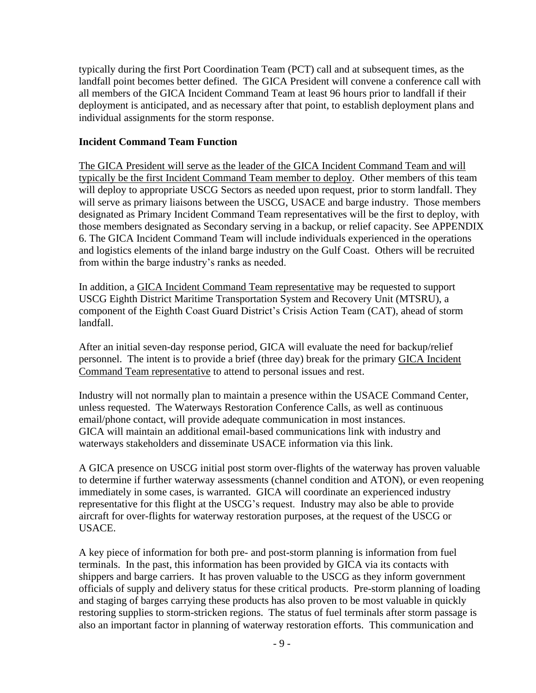typically during the first Port Coordination Team (PCT) call and at subsequent times, as the landfall point becomes better defined. The GICA President will convene a conference call with all members of the GICA Incident Command Team at least 96 hours prior to landfall if their deployment is anticipated, and as necessary after that point, to establish deployment plans and individual assignments for the storm response.

### **Incident Command Team Function**

The GICA President will serve as the leader of the GICA Incident Command Team and will typically be the first Incident Command Team member to deploy. Other members of this team will deploy to appropriate USCG Sectors as needed upon request, prior to storm landfall. They will serve as primary liaisons between the USCG, USACE and barge industry. Those members designated as Primary Incident Command Team representatives will be the first to deploy, with those members designated as Secondary serving in a backup, or relief capacity. See APPENDIX 6. The GICA Incident Command Team will include individuals experienced in the operations and logistics elements of the inland barge industry on the Gulf Coast. Others will be recruited from within the barge industry's ranks as needed.

In addition, a GICA Incident Command Team representative may be requested to support USCG Eighth District Maritime Transportation System and Recovery Unit (MTSRU), a component of the Eighth Coast Guard District's Crisis Action Team (CAT), ahead of storm landfall.

After an initial seven-day response period, GICA will evaluate the need for backup/relief personnel. The intent is to provide a brief (three day) break for the primary GICA Incident Command Team representative to attend to personal issues and rest.

Industry will not normally plan to maintain a presence within the USACE Command Center, unless requested. The Waterways Restoration Conference Calls, as well as continuous email/phone contact, will provide adequate communication in most instances. GICA will maintain an additional email-based communications link with industry and waterways stakeholders and disseminate USACE information via this link.

A GICA presence on USCG initial post storm over-flights of the waterway has proven valuable to determine if further waterway assessments (channel condition and ATON), or even reopening immediately in some cases, is warranted. GICA will coordinate an experienced industry representative for this flight at the USCG's request. Industry may also be able to provide aircraft for over-flights for waterway restoration purposes, at the request of the USCG or USACE.

A key piece of information for both pre- and post-storm planning is information from fuel terminals. In the past, this information has been provided by GICA via its contacts with shippers and barge carriers. It has proven valuable to the USCG as they inform government officials of supply and delivery status for these critical products. Pre-storm planning of loading and staging of barges carrying these products has also proven to be most valuable in quickly restoring supplies to storm-stricken regions. The status of fuel terminals after storm passage is also an important factor in planning of waterway restoration efforts. This communication and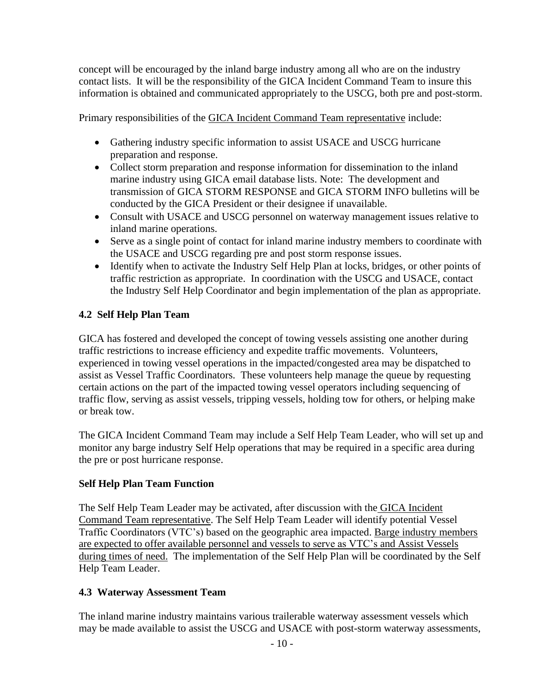concept will be encouraged by the inland barge industry among all who are on the industry contact lists. It will be the responsibility of the GICA Incident Command Team to insure this information is obtained and communicated appropriately to the USCG, both pre and post-storm.

Primary responsibilities of the **GICA Incident Command Team representative** include:

- Gathering industry specific information to assist USACE and USCG hurricane preparation and response.
- Collect storm preparation and response information for dissemination to the inland marine industry using GICA email database lists. Note: The development and transmission of GICA STORM RESPONSE and GICA STORM INFO bulletins will be conducted by the GICA President or their designee if unavailable.
- Consult with USACE and USCG personnel on waterway management issues relative to inland marine operations.
- Serve as a single point of contact for inland marine industry members to coordinate with the USACE and USCG regarding pre and post storm response issues.
- Identify when to activate the Industry Self Help Plan at locks, bridges, or other points of traffic restriction as appropriate. In coordination with the USCG and USACE, contact the Industry Self Help Coordinator and begin implementation of the plan as appropriate.

# **4.2 Self Help Plan Team**

GICA has fostered and developed the concept of towing vessels assisting one another during traffic restrictions to increase efficiency and expedite traffic movements. Volunteers, experienced in towing vessel operations in the impacted/congested area may be dispatched to assist as Vessel Traffic Coordinators. These volunteers help manage the queue by requesting certain actions on the part of the impacted towing vessel operators including sequencing of traffic flow, serving as assist vessels, tripping vessels, holding tow for others, or helping make or break tow.

The GICA Incident Command Team may include a Self Help Team Leader, who will set up and monitor any barge industry Self Help operations that may be required in a specific area during the pre or post hurricane response.

# **Self Help Plan Team Function**

The Self Help Team Leader may be activated, after discussion with the GICA Incident Command Team representative. The Self Help Team Leader will identify potential Vessel Traffic Coordinators (VTC's) based on the geographic area impacted. Barge industry members are expected to offer available personnel and vessels to serve as VTC's and Assist Vessels during times of need. The implementation of the Self Help Plan will be coordinated by the Self Help Team Leader.

# **4.3 Waterway Assessment Team**

The inland marine industry maintains various trailerable waterway assessment vessels which may be made available to assist the USCG and USACE with post-storm waterway assessments,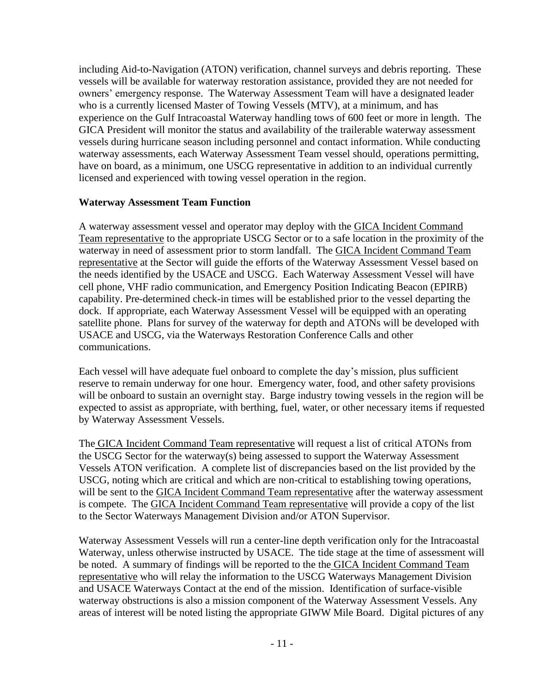including Aid-to-Navigation (ATON) verification, channel surveys and debris reporting. These vessels will be available for waterway restoration assistance, provided they are not needed for owners' emergency response. The Waterway Assessment Team will have a designated leader who is a currently licensed Master of Towing Vessels (MTV), at a minimum, and has experience on the Gulf Intracoastal Waterway handling tows of 600 feet or more in length. The GICA President will monitor the status and availability of the trailerable waterway assessment vessels during hurricane season including personnel and contact information. While conducting waterway assessments, each Waterway Assessment Team vessel should, operations permitting, have on board, as a minimum, one USCG representative in addition to an individual currently licensed and experienced with towing vessel operation in the region.

### **Waterway Assessment Team Function**

A waterway assessment vessel and operator may deploy with the GICA Incident Command Team representative to the appropriate USCG Sector or to a safe location in the proximity of the waterway in need of assessment prior to storm landfall. The GICA Incident Command Team representative at the Sector will guide the efforts of the Waterway Assessment Vessel based on the needs identified by the USACE and USCG. Each Waterway Assessment Vessel will have cell phone, VHF radio communication, and Emergency Position Indicating Beacon (EPIRB) capability. Pre-determined check-in times will be established prior to the vessel departing the dock. If appropriate, each Waterway Assessment Vessel will be equipped with an operating satellite phone. Plans for survey of the waterway for depth and ATONs will be developed with USACE and USCG, via the Waterways Restoration Conference Calls and other communications.

Each vessel will have adequate fuel onboard to complete the day's mission, plus sufficient reserve to remain underway for one hour. Emergency water, food, and other safety provisions will be onboard to sustain an overnight stay. Barge industry towing vessels in the region will be expected to assist as appropriate, with berthing, fuel, water, or other necessary items if requested by Waterway Assessment Vessels.

The GICA Incident Command Team representative will request a list of critical ATONs from the USCG Sector for the waterway(s) being assessed to support the Waterway Assessment Vessels ATON verification. A complete list of discrepancies based on the list provided by the USCG, noting which are critical and which are non-critical to establishing towing operations, will be sent to the GICA Incident Command Team representative after the waterway assessment is compete. The GICA Incident Command Team representative will provide a copy of the list to the Sector Waterways Management Division and/or ATON Supervisor.

Waterway Assessment Vessels will run a center-line depth verification only for the Intracoastal Waterway, unless otherwise instructed by USACE. The tide stage at the time of assessment will be noted. A summary of findings will be reported to the the GICA Incident Command Team representative who will relay the information to the USCG Waterways Management Division and USACE Waterways Contact at the end of the mission. Identification of surface-visible waterway obstructions is also a mission component of the Waterway Assessment Vessels. Any areas of interest will be noted listing the appropriate GIWW Mile Board. Digital pictures of any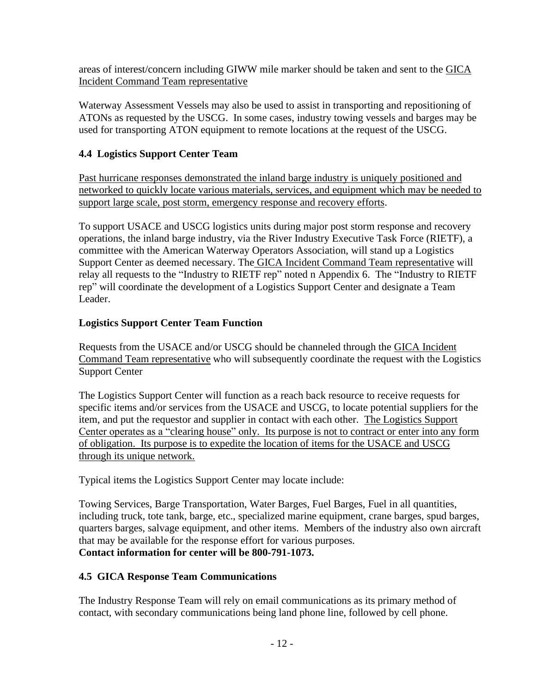areas of interest/concern including GIWW mile marker should be taken and sent to the GICA Incident Command Team representative

Waterway Assessment Vessels may also be used to assist in transporting and repositioning of ATONs as requested by the USCG. In some cases, industry towing vessels and barges may be used for transporting ATON equipment to remote locations at the request of the USCG.

# **4.4 Logistics Support Center Team**

Past hurricane responses demonstrated the inland barge industry is uniquely positioned and networked to quickly locate various materials, services, and equipment which may be needed to support large scale, post storm, emergency response and recovery efforts.

To support USACE and USCG logistics units during major post storm response and recovery operations, the inland barge industry, via the River Industry Executive Task Force (RIETF), a committee with the American Waterway Operators Association, will stand up a Logistics Support Center as deemed necessary. The GICA Incident Command Team representative will relay all requests to the "Industry to RIETF rep" noted n Appendix 6. The "Industry to RIETF rep" will coordinate the development of a Logistics Support Center and designate a Team Leader.

### **Logistics Support Center Team Function**

Requests from the USACE and/or USCG should be channeled through the GICA Incident Command Team representative who will subsequently coordinate the request with the Logistics Support Center

The Logistics Support Center will function as a reach back resource to receive requests for specific items and/or services from the USACE and USCG, to locate potential suppliers for the item, and put the requestor and supplier in contact with each other. The Logistics Support Center operates as a "clearing house" only. Its purpose is not to contract or enter into any form of obligation. Its purpose is to expedite the location of items for the USACE and USCG through its unique network.

Typical items the Logistics Support Center may locate include:

Towing Services, Barge Transportation, Water Barges, Fuel Barges, Fuel in all quantities, including truck, tote tank, barge, etc., specialized marine equipment, crane barges, spud barges, quarters barges, salvage equipment, and other items. Members of the industry also own aircraft that may be available for the response effort for various purposes. **Contact information for center will be 800-791-1073.**

### **4.5 GICA Response Team Communications**

The Industry Response Team will rely on email communications as its primary method of contact, with secondary communications being land phone line, followed by cell phone.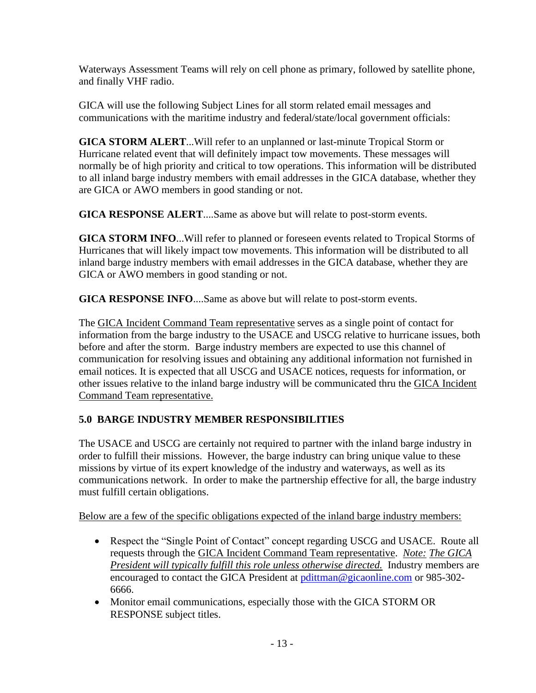Waterways Assessment Teams will rely on cell phone as primary, followed by satellite phone, and finally VHF radio.

GICA will use the following Subject Lines for all storm related email messages and communications with the maritime industry and federal/state/local government officials:

**GICA STORM ALERT**...Will refer to an unplanned or last-minute Tropical Storm or Hurricane related event that will definitely impact tow movements. These messages will normally be of high priority and critical to tow operations. This information will be distributed to all inland barge industry members with email addresses in the GICA database, whether they are GICA or AWO members in good standing or not.

**GICA RESPONSE ALERT**....Same as above but will relate to post-storm events.

**GICA STORM INFO**...Will refer to planned or foreseen events related to Tropical Storms of Hurricanes that will likely impact tow movements. This information will be distributed to all inland barge industry members with email addresses in the GICA database, whether they are GICA or AWO members in good standing or not.

**GICA RESPONSE INFO**....Same as above but will relate to post-storm events.

The GICA Incident Command Team representative serves as a single point of contact for information from the barge industry to the USACE and USCG relative to hurricane issues, both before and after the storm. Barge industry members are expected to use this channel of communication for resolving issues and obtaining any additional information not furnished in email notices. It is expected that all USCG and USACE notices, requests for information, or other issues relative to the inland barge industry will be communicated thru the GICA Incident Command Team representative.

# **5.0 BARGE INDUSTRY MEMBER RESPONSIBILITIES**

The USACE and USCG are certainly not required to partner with the inland barge industry in order to fulfill their missions. However, the barge industry can bring unique value to these missions by virtue of its expert knowledge of the industry and waterways, as well as its communications network. In order to make the partnership effective for all, the barge industry must fulfill certain obligations.

Below are a few of the specific obligations expected of the inland barge industry members:

- Respect the "Single Point of Contact" concept regarding USCG and USACE. Route all requests through the GICA Incident Command Team representative. *Note: The GICA President will typically fulfill this role unless otherwise directed.* Industry members are encouraged to contact the GICA President at [pdittman@gicaonline.com](mailto:pdittman@gicaonline.com) or 985-302-6666.
- Monitor email communications, especially those with the GICA STORM OR RESPONSE subject titles.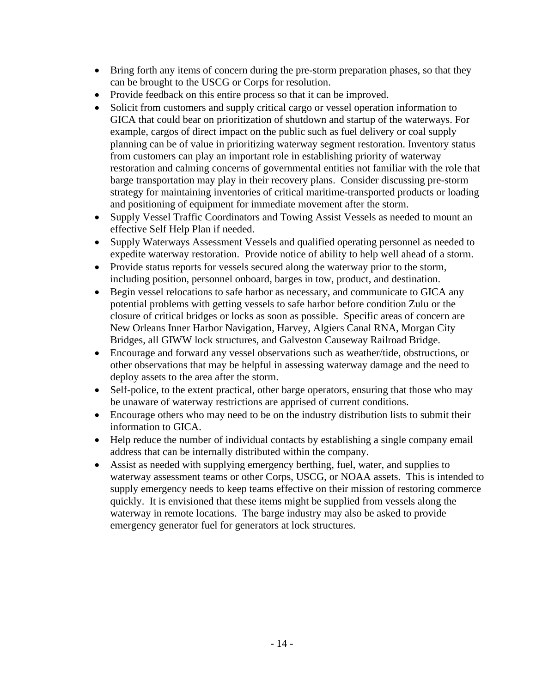- Bring forth any items of concern during the pre-storm preparation phases, so that they can be brought to the USCG or Corps for resolution.
- Provide feedback on this entire process so that it can be improved.
- Solicit from customers and supply critical cargo or vessel operation information to GICA that could bear on prioritization of shutdown and startup of the waterways. For example, cargos of direct impact on the public such as fuel delivery or coal supply planning can be of value in prioritizing waterway segment restoration. Inventory status from customers can play an important role in establishing priority of waterway restoration and calming concerns of governmental entities not familiar with the role that barge transportation may play in their recovery plans. Consider discussing pre-storm strategy for maintaining inventories of critical maritime-transported products or loading and positioning of equipment for immediate movement after the storm.
- Supply Vessel Traffic Coordinators and Towing Assist Vessels as needed to mount an effective Self Help Plan if needed.
- Supply Waterways Assessment Vessels and qualified operating personnel as needed to expedite waterway restoration. Provide notice of ability to help well ahead of a storm.
- Provide status reports for vessels secured along the waterway prior to the storm, including position, personnel onboard, barges in tow, product, and destination.
- Begin vessel relocations to safe harbor as necessary, and communicate to GICA any potential problems with getting vessels to safe harbor before condition Zulu or the closure of critical bridges or locks as soon as possible. Specific areas of concern are New Orleans Inner Harbor Navigation, Harvey, Algiers Canal RNA, Morgan City Bridges, all GIWW lock structures, and Galveston Causeway Railroad Bridge.
- Encourage and forward any vessel observations such as weather/tide, obstructions, or other observations that may be helpful in assessing waterway damage and the need to deploy assets to the area after the storm.
- Self-police, to the extent practical, other barge operators, ensuring that those who may be unaware of waterway restrictions are apprised of current conditions.
- Encourage others who may need to be on the industry distribution lists to submit their information to GICA.
- Help reduce the number of individual contacts by establishing a single company email address that can be internally distributed within the company.
- Assist as needed with supplying emergency berthing, fuel, water, and supplies to waterway assessment teams or other Corps, USCG, or NOAA assets. This is intended to supply emergency needs to keep teams effective on their mission of restoring commerce quickly. It is envisioned that these items might be supplied from vessels along the waterway in remote locations. The barge industry may also be asked to provide emergency generator fuel for generators at lock structures.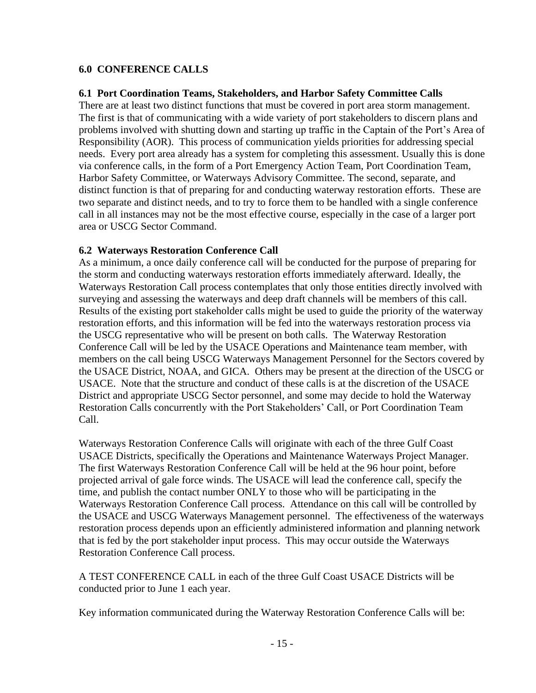### **6.0 CONFERENCE CALLS**

#### **6.1 Port Coordination Teams, Stakeholders, and Harbor Safety Committee Calls**

There are at least two distinct functions that must be covered in port area storm management. The first is that of communicating with a wide variety of port stakeholders to discern plans and problems involved with shutting down and starting up traffic in the Captain of the Port's Area of Responsibility (AOR). This process of communication yields priorities for addressing special needs. Every port area already has a system for completing this assessment. Usually this is done via conference calls, in the form of a Port Emergency Action Team, Port Coordination Team, Harbor Safety Committee, or Waterways Advisory Committee. The second, separate, and distinct function is that of preparing for and conducting waterway restoration efforts. These are two separate and distinct needs, and to try to force them to be handled with a single conference call in all instances may not be the most effective course, especially in the case of a larger port area or USCG Sector Command.

### **6.2 Waterways Restoration Conference Call**

As a minimum, a once daily conference call will be conducted for the purpose of preparing for the storm and conducting waterways restoration efforts immediately afterward. Ideally, the Waterways Restoration Call process contemplates that only those entities directly involved with surveying and assessing the waterways and deep draft channels will be members of this call. Results of the existing port stakeholder calls might be used to guide the priority of the waterway restoration efforts, and this information will be fed into the waterways restoration process via the USCG representative who will be present on both calls. The Waterway Restoration Conference Call will be led by the USACE Operations and Maintenance team member, with members on the call being USCG Waterways Management Personnel for the Sectors covered by the USACE District, NOAA, and GICA. Others may be present at the direction of the USCG or USACE. Note that the structure and conduct of these calls is at the discretion of the USACE District and appropriate USCG Sector personnel, and some may decide to hold the Waterway Restoration Calls concurrently with the Port Stakeholders' Call, or Port Coordination Team Call.

Waterways Restoration Conference Calls will originate with each of the three Gulf Coast USACE Districts, specifically the Operations and Maintenance Waterways Project Manager. The first Waterways Restoration Conference Call will be held at the 96 hour point, before projected arrival of gale force winds. The USACE will lead the conference call, specify the time, and publish the contact number ONLY to those who will be participating in the Waterways Restoration Conference Call process. Attendance on this call will be controlled by the USACE and USCG Waterways Management personnel. The effectiveness of the waterways restoration process depends upon an efficiently administered information and planning network that is fed by the port stakeholder input process. This may occur outside the Waterways Restoration Conference Call process.

A TEST CONFERENCE CALL in each of the three Gulf Coast USACE Districts will be conducted prior to June 1 each year.

Key information communicated during the Waterway Restoration Conference Calls will be: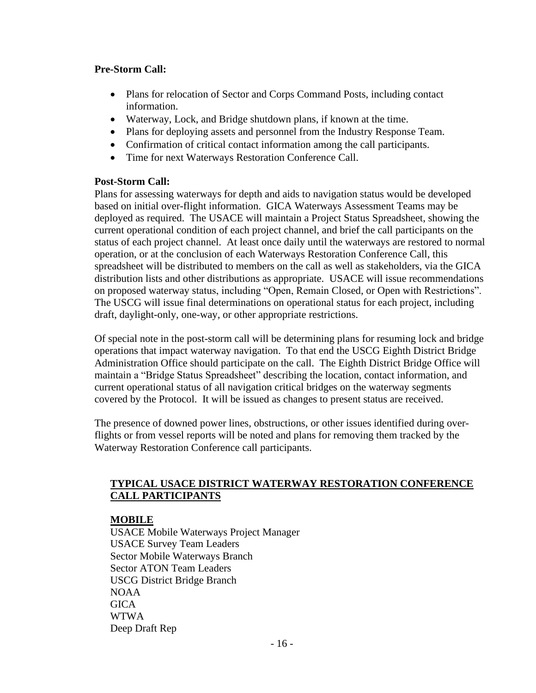### **Pre-Storm Call:**

- Plans for relocation of Sector and Corps Command Posts, including contact information.
- Waterway, Lock, and Bridge shutdown plans, if known at the time.
- Plans for deploying assets and personnel from the Industry Response Team.
- Confirmation of critical contact information among the call participants.
- Time for next Waterways Restoration Conference Call.

### **Post-Storm Call:**

Plans for assessing waterways for depth and aids to navigation status would be developed based on initial over-flight information. GICA Waterways Assessment Teams may be deployed as required. The USACE will maintain a Project Status Spreadsheet, showing the current operational condition of each project channel, and brief the call participants on the status of each project channel. At least once daily until the waterways are restored to normal operation, or at the conclusion of each Waterways Restoration Conference Call, this spreadsheet will be distributed to members on the call as well as stakeholders, via the GICA distribution lists and other distributions as appropriate. USACE will issue recommendations on proposed waterway status, including "Open, Remain Closed, or Open with Restrictions". The USCG will issue final determinations on operational status for each project, including draft, daylight-only, one-way, or other appropriate restrictions.

Of special note in the post-storm call will be determining plans for resuming lock and bridge operations that impact waterway navigation. To that end the USCG Eighth District Bridge Administration Office should participate on the call. The Eighth District Bridge Office will maintain a "Bridge Status Spreadsheet" describing the location, contact information, and current operational status of all navigation critical bridges on the waterway segments covered by the Protocol. It will be issued as changes to present status are received.

The presence of downed power lines, obstructions, or other issues identified during overflights or from vessel reports will be noted and plans for removing them tracked by the Waterway Restoration Conference call participants.

# **TYPICAL USACE DISTRICT WATERWAY RESTORATION CONFERENCE CALL PARTICIPANTS**

# **MOBILE**

USACE Mobile Waterways Project Manager USACE Survey Team Leaders Sector Mobile Waterways Branch Sector ATON Team Leaders USCG District Bridge Branch NOAA **GICA** WTWA Deep Draft Rep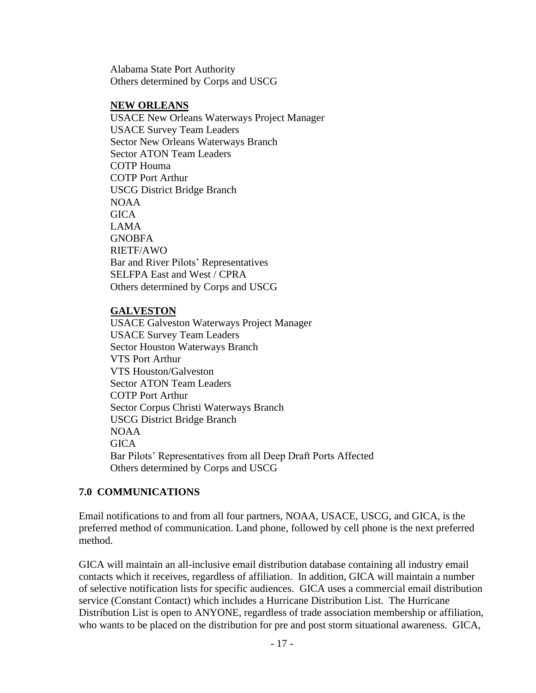Alabama State Port Authority Others determined by Corps and USCG

#### **NEW ORLEANS**

USACE New Orleans Waterways Project Manager USACE Survey Team Leaders Sector New Orleans Waterways Branch Sector ATON Team Leaders COTP Houma COTP Port Arthur USCG District Bridge Branch NOAA **GICA** LAMA **GNOBFA** RIETF/AWO Bar and River Pilots' Representatives SELFPA East and West / CPRA Others determined by Corps and USCG

#### **GALVESTON**

USACE Galveston Waterways Project Manager USACE Survey Team Leaders Sector Houston Waterways Branch VTS Port Arthur VTS Houston/Galveston Sector ATON Team Leaders COTP Port Arthur Sector Corpus Christi Waterways Branch USCG District Bridge Branch NOAA **GICA** Bar Pilots' Representatives from all Deep Draft Ports Affected Others determined by Corps and USCG

### **7.0 COMMUNICATIONS**

Email notifications to and from all four partners, NOAA, USACE, USCG, and GICA, is the preferred method of communication. Land phone, followed by cell phone is the next preferred method.

GICA will maintain an all-inclusive email distribution database containing all industry email contacts which it receives, regardless of affiliation. In addition, GICA will maintain a number of selective notification lists for specific audiences. GICA uses a commercial email distribution service (Constant Contact) which includes a Hurricane Distribution List. The Hurricane Distribution List is open to ANYONE, regardless of trade association membership or affiliation, who wants to be placed on the distribution for pre and post storm situational awareness. GICA,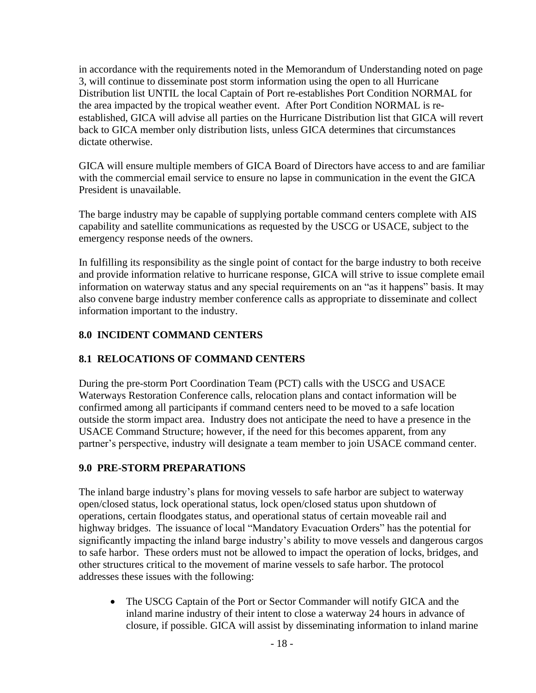in accordance with the requirements noted in the Memorandum of Understanding noted on page 3, will continue to disseminate post storm information using the open to all Hurricane Distribution list UNTIL the local Captain of Port re-establishes Port Condition NORMAL for the area impacted by the tropical weather event. After Port Condition NORMAL is reestablished, GICA will advise all parties on the Hurricane Distribution list that GICA will revert back to GICA member only distribution lists, unless GICA determines that circumstances dictate otherwise.

GICA will ensure multiple members of GICA Board of Directors have access to and are familiar with the commercial email service to ensure no lapse in communication in the event the GICA President is unavailable.

The barge industry may be capable of supplying portable command centers complete with AIS capability and satellite communications as requested by the USCG or USACE, subject to the emergency response needs of the owners.

In fulfilling its responsibility as the single point of contact for the barge industry to both receive and provide information relative to hurricane response, GICA will strive to issue complete email information on waterway status and any special requirements on an "as it happens" basis. It may also convene barge industry member conference calls as appropriate to disseminate and collect information important to the industry.

# **8.0 INCIDENT COMMAND CENTERS**

# **8.1 RELOCATIONS OF COMMAND CENTERS**

During the pre-storm Port Coordination Team (PCT) calls with the USCG and USACE Waterways Restoration Conference calls, relocation plans and contact information will be confirmed among all participants if command centers need to be moved to a safe location outside the storm impact area. Industry does not anticipate the need to have a presence in the USACE Command Structure; however, if the need for this becomes apparent, from any partner's perspective, industry will designate a team member to join USACE command center.

# **9.0 PRE-STORM PREPARATIONS**

The inland barge industry's plans for moving vessels to safe harbor are subject to waterway open/closed status, lock operational status, lock open/closed status upon shutdown of operations, certain floodgates status, and operational status of certain moveable rail and highway bridges. The issuance of local "Mandatory Evacuation Orders" has the potential for significantly impacting the inland barge industry's ability to move vessels and dangerous cargos to safe harbor. These orders must not be allowed to impact the operation of locks, bridges, and other structures critical to the movement of marine vessels to safe harbor. The protocol addresses these issues with the following:

• The USCG Captain of the Port or Sector Commander will notify GICA and the inland marine industry of their intent to close a waterway 24 hours in advance of closure, if possible. GICA will assist by disseminating information to inland marine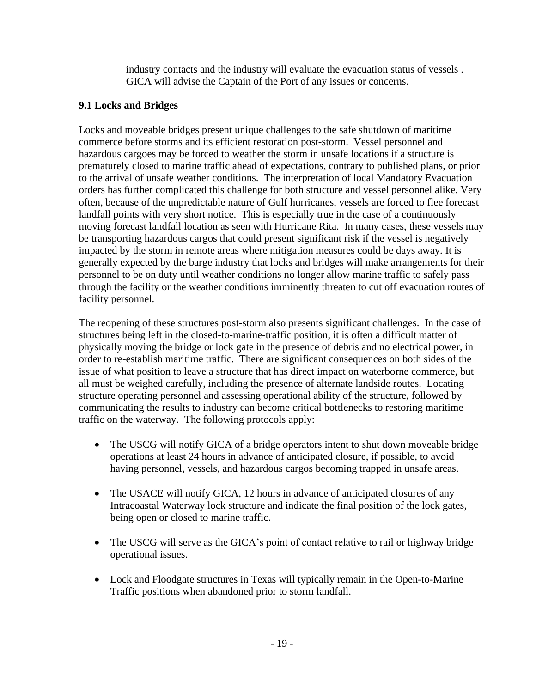industry contacts and the industry will evaluate the evacuation status of vessels . GICA will advise the Captain of the Port of any issues or concerns.

# **9.1 Locks and Bridges**

Locks and moveable bridges present unique challenges to the safe shutdown of maritime commerce before storms and its efficient restoration post-storm. Vessel personnel and hazardous cargoes may be forced to weather the storm in unsafe locations if a structure is prematurely closed to marine traffic ahead of expectations, contrary to published plans, or prior to the arrival of unsafe weather conditions. The interpretation of local Mandatory Evacuation orders has further complicated this challenge for both structure and vessel personnel alike. Very often, because of the unpredictable nature of Gulf hurricanes, vessels are forced to flee forecast landfall points with very short notice. This is especially true in the case of a continuously moving forecast landfall location as seen with Hurricane Rita. In many cases, these vessels may be transporting hazardous cargos that could present significant risk if the vessel is negatively impacted by the storm in remote areas where mitigation measures could be days away. It is generally expected by the barge industry that locks and bridges will make arrangements for their personnel to be on duty until weather conditions no longer allow marine traffic to safely pass through the facility or the weather conditions imminently threaten to cut off evacuation routes of facility personnel.

The reopening of these structures post-storm also presents significant challenges. In the case of structures being left in the closed-to-marine-traffic position, it is often a difficult matter of physically moving the bridge or lock gate in the presence of debris and no electrical power, in order to re-establish maritime traffic. There are significant consequences on both sides of the issue of what position to leave a structure that has direct impact on waterborne commerce, but all must be weighed carefully, including the presence of alternate landside routes. Locating structure operating personnel and assessing operational ability of the structure, followed by communicating the results to industry can become critical bottlenecks to restoring maritime traffic on the waterway. The following protocols apply:

- The USCG will notify GICA of a bridge operators intent to shut down moveable bridge operations at least 24 hours in advance of anticipated closure, if possible, to avoid having personnel, vessels, and hazardous cargos becoming trapped in unsafe areas.
- The USACE will notify GICA, 12 hours in advance of anticipated closures of any Intracoastal Waterway lock structure and indicate the final position of the lock gates, being open or closed to marine traffic.
- The USCG will serve as the GICA's point of contact relative to rail or highway bridge operational issues.
- Lock and Floodgate structures in Texas will typically remain in the Open-to-Marine Traffic positions when abandoned prior to storm landfall.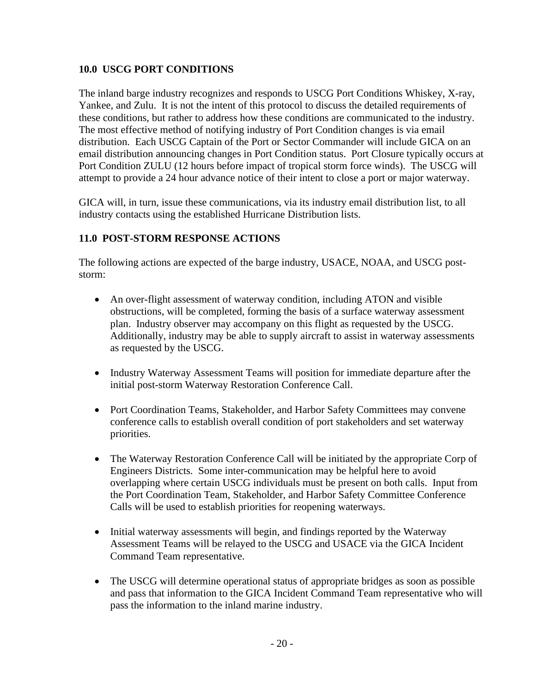# **10.0 USCG PORT CONDITIONS**

The inland barge industry recognizes and responds to USCG Port Conditions Whiskey, X-ray, Yankee, and Zulu. It is not the intent of this protocol to discuss the detailed requirements of these conditions, but rather to address how these conditions are communicated to the industry. The most effective method of notifying industry of Port Condition changes is via email distribution. Each USCG Captain of the Port or Sector Commander will include GICA on an email distribution announcing changes in Port Condition status. Port Closure typically occurs at Port Condition ZULU (12 hours before impact of tropical storm force winds). The USCG will attempt to provide a 24 hour advance notice of their intent to close a port or major waterway.

GICA will, in turn, issue these communications, via its industry email distribution list, to all industry contacts using the established Hurricane Distribution lists.

# **11.0 POST-STORM RESPONSE ACTIONS**

The following actions are expected of the barge industry, USACE, NOAA, and USCG poststorm:

- An over-flight assessment of waterway condition, including ATON and visible obstructions, will be completed, forming the basis of a surface waterway assessment plan. Industry observer may accompany on this flight as requested by the USCG. Additionally, industry may be able to supply aircraft to assist in waterway assessments as requested by the USCG.
- Industry Waterway Assessment Teams will position for immediate departure after the initial post-storm Waterway Restoration Conference Call.
- Port Coordination Teams, Stakeholder, and Harbor Safety Committees may convene conference calls to establish overall condition of port stakeholders and set waterway priorities.
- The Waterway Restoration Conference Call will be initiated by the appropriate Corp of Engineers Districts. Some inter-communication may be helpful here to avoid overlapping where certain USCG individuals must be present on both calls. Input from the Port Coordination Team, Stakeholder, and Harbor Safety Committee Conference Calls will be used to establish priorities for reopening waterways.
- Initial waterway assessments will begin, and findings reported by the Waterway Assessment Teams will be relayed to the USCG and USACE via the GICA Incident Command Team representative.
- The USCG will determine operational status of appropriate bridges as soon as possible and pass that information to the GICA Incident Command Team representative who will pass the information to the inland marine industry.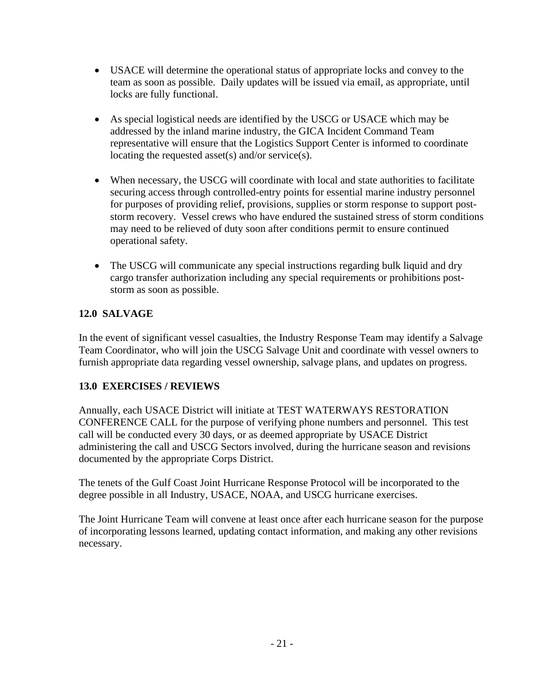- USACE will determine the operational status of appropriate locks and convey to the team as soon as possible. Daily updates will be issued via email, as appropriate, until locks are fully functional.
- As special logistical needs are identified by the USCG or USACE which may be addressed by the inland marine industry, the GICA Incident Command Team representative will ensure that the Logistics Support Center is informed to coordinate locating the requested asset(s) and/or service(s).
- When necessary, the USCG will coordinate with local and state authorities to facilitate securing access through controlled-entry points for essential marine industry personnel for purposes of providing relief, provisions, supplies or storm response to support poststorm recovery. Vessel crews who have endured the sustained stress of storm conditions may need to be relieved of duty soon after conditions permit to ensure continued operational safety.
- The USCG will communicate any special instructions regarding bulk liquid and dry cargo transfer authorization including any special requirements or prohibitions poststorm as soon as possible.

# **12.0 SALVAGE**

In the event of significant vessel casualties, the Industry Response Team may identify a Salvage Team Coordinator, who will join the USCG Salvage Unit and coordinate with vessel owners to furnish appropriate data regarding vessel ownership, salvage plans, and updates on progress.

# **13.0 EXERCISES / REVIEWS**

Annually, each USACE District will initiate at TEST WATERWAYS RESTORATION CONFERENCE CALL for the purpose of verifying phone numbers and personnel. This test call will be conducted every 30 days, or as deemed appropriate by USACE District administering the call and USCG Sectors involved, during the hurricane season and revisions documented by the appropriate Corps District.

The tenets of the Gulf Coast Joint Hurricane Response Protocol will be incorporated to the degree possible in all Industry, USACE, NOAA, and USCG hurricane exercises.

The Joint Hurricane Team will convene at least once after each hurricane season for the purpose of incorporating lessons learned, updating contact information, and making any other revisions necessary.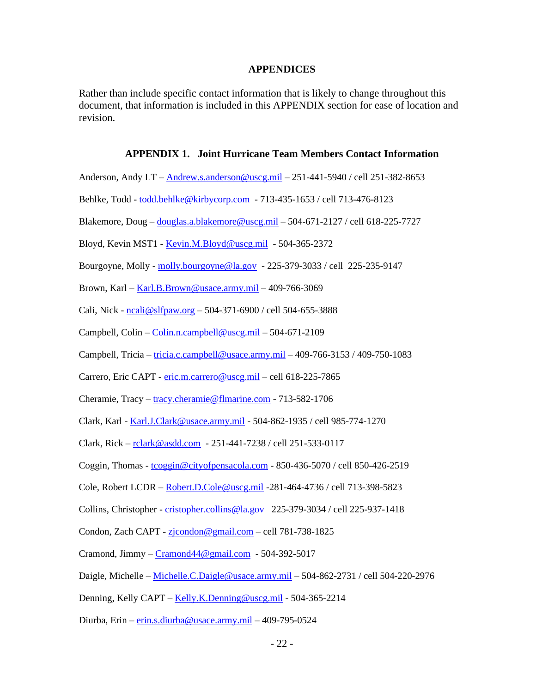#### **APPENDICES**

Rather than include specific contact information that is likely to change throughout this document, that information is included in this APPENDIX section for ease of location and revision.

#### **APPENDIX 1. Joint Hurricane Team Members Contact Information**

- Anderson, Andy  $LT -$ [Andrew.s.anderson@uscg.mil](mailto:Andrew.s.anderson@uscg.mil)  $-251-441-5940$  / cell 251-382-8653
- Behlke, Todd [todd.behlke@kirbycorp.com](mailto:todd.behlke@kirbycorp.com)  713-435-1653 / cell 713-476-8123
- Blakemore, Doug [douglas.a.blakemore@uscg.mil](mailto:douglas.a.blakemore@uscg.mil) 504-671-2127 / cell 618-225-7727
- Bloyd, Kevin MST1 [Kevin.M.Bloyd@uscg.mil](mailto:Kevin.M.Bloyd@uscg.mil)  504-365-2372
- Bourgoyne, Molly [molly.bourgoyne@la.gov](mailto:molly.bourgoyne@la.gov)  225-379-3033 / cell 225-235-9147
- Brown, Karl [Karl.B.Brown@usace.army.mil](mailto:Karl.B.Brown@usace.army.mil) 409-766-3069
- Cali, Nick [ncali@slfpaw.org](mailto:ncali@slfpaw.org) 504-371-6900 / cell 504-655-3888
- Campbell, Colin [Colin.n.campbell@uscg.mil](mailto:Colin.n.campbell@uscg.mil) 504-671-2109
- Campbell, Tricia  $tricia.c. campbell@usace. army.mil 409-766-3153/409-750-1083$
- Carrero, Eric CAPT [eric.m.carrero@uscg.mil](mailto:eric.m.carrero@uscg.mil) cell 618-225-7865
- Cheramie, Tracy [tracy.cheramie@flmarine.com](mailto:tracy.cheramie@flmarine.com) 713-582-1706
- Clark, Karl [Karl.J.Clark@usace.army.mil](mailto:Karl.J.Clark@usace.army.mil) 504-862-1935 / cell 985-774-1270
- Clark, Rick [rclark@asdd.com](mailto:rclark@asdd.com)  251-441-7238 / cell 251-533-0117
- Coggin, Thomas [tcoggin@cityofpensacola.com](mailto:tcoggin@cityofpensacola.com) 850-436-5070 / cell 850-426-2519
- Cole, Robert LCDR [Robert.D.Cole@uscg.mil](mailto:Robert.D.Cole@uscg.mil) -281-464-4736 / cell 713-398-5823
- Collins, Christopher [cristopher.collins@la.gov](mailto:cristopher.collins@la.gov) 225-379-3034 / cell 225-937-1418
- Condon, Zach CAPT [zjcondon@gmail.com](mailto:zjcondon@gmail.com) cell 781-738-1825
- Cramond, Jimmy Cramond $44@$ gmail.com 504-392-5017
- Daigle, Michelle [Michelle.C.Daigle@usace.army.mil](mailto:Michelle.C.Daigle@usace.army.mil) 504-862-2731 / cell 504-220-2976
- Denning, Kelly CAPT [Kelly.K.Denning@uscg.mil](mailto:Kelly.K.Denning@uscg.mil-) 504-365-2214
- Diurba, Erin [erin.s.diurba@usace.army.mil](mailto:erin.s.diurba@usace.army.mil) 409-795-0524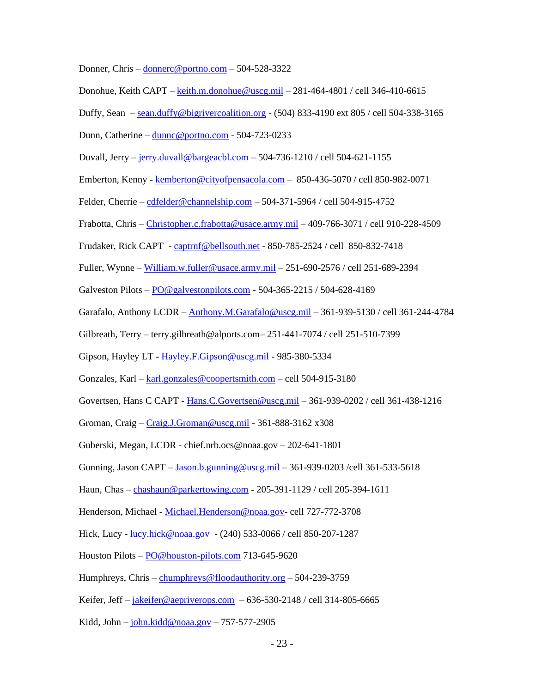Donner, Chris – [donnerc@portno.com](mailto:donnerc@portno.com) – 504-528-3322

- Donohue, Keith CAPT [keith.m.donohue@uscg.mil](mailto:keith.m.donohue@uscg.mil) 281-464-4801 / cell 346-410-6615
- Duffy, Sean [sean.duffy@bigrivercoalition.org](mailto:sean.duffy@bigrivercoalition.org) (504) 833-4190 ext 805 / cell 504-338-3165

Dunn, Catherine – [dunnc@portno.com](mailto:dunnc@portno.com) - 504-723-0233

- Duvall, Jerry [jerry.duvall@bargeacbl.com](mailto:jerry.duvall@bargeacbl.com) 504-736-1210 / cell 504-621-1155
- Emberton, Kenny [kemberton@cityofpensacola.com](mailto:kemberton@cityofpensacola.com) 850-436-5070 / cell 850-982-0071
- Felder, Cherrie [cdfelder@channelship.com](mailto:cdfelder@channelship.com) 504-371-5964 / cell 504-915-4752
- Frabotta, Chris [Christopher.c.frabotta@usace.army.mil](mailto:Christopher.c.frabotta@usace.army.mil) 409-766-3071 / cell 910-228-4509
- Frudaker, Rick CAPT [captrnf@bellsouth.net](mailto:captrnf@bellsouth.net) 850-785-2524 / cell 850-832-7418
- Fuller, Wynne [William.w.fuller@usace.army.mil](mailto:William.w.fuller@usace.army.mil)  $251-690-2576$  / cell  $251-689-2394$
- Galveston Pilots [PO@galvestonpilots.com](mailto:PO@galvestonpilots.com) 504-365-2215 / 504-628-4169
- Garafalo, Anthony LCDR [Anthony.M.Garafalo@uscg.mil](mailto:Anthony.M.Garafalo@uscg.mil) 361-939-5130 / cell 361-244-4784
- Gilbreath, Terry terry.gilbreath@alports.com– 251-441-7074 / cell 251-510-7399
- Gipson, Hayley LT [Hayley.F.Gipson@uscg.mil](mailto:Hayley.F.Gipson@uscg.mil) 985-380-5334
- Gonzales, Karl [karl.gonzales@coopertsmith.com](mailto:karl.gonzales@coopertsmith.com) cell 504-915-3180
- Govertsen, Hans C CAPT [Hans.C.Govertsen@uscg.mil](mailto:Hans.C.Govertsen@uscg.mil) 361-939-0202 / cell 361-438-1216
- Groman, Craig [Craig.J.Groman@uscg.mil](mailto:Craig.J.Groman@uscg.mil) 361-888-3162 x308
- Guberski, Megan, LCDR chief.nrb.ocs@noaa.gov 202-641-1801
- Gunning, Jason CAPT [Jason.b.gunning@uscg.mil](mailto:Jason.b.gunning@uscg.mil) 361-939-0203 /cell 361-533-5618
- Haun, Chas [chashaun@parkertowing.com](mailto:chashaun@parkertowing.com) 205-391-1129 / cell 205-394-1611
- Henderson, Michael [Michael.Henderson@noaa.gov-](mailto:Michael.Henderson@noaa.gov) cell 727-772-3708
- Hick, Lucy <u>lucy.hick@noaa.gov</u> (240) 533-0066 / cell 850-207-1287
- Houston Pilots [PO@houston-pilots.com](mailto:PO@houston-pilots.com) 713-645-9620
- Humphreys, Chris [chumphreys@floodauthority.org](mailto:chumphreys@floodauthority.org) 504-239-3759
- Keifer, Jeff [jakeifer@aepriverops.com](mailto:jakeifer@aepriverops.com) 636-530-2148 / cell 314-805-6665
- Kidd, John  $-$  [john.kidd@noaa.gov](mailto:john.kidd@noaa.gov)  $-757-577-2905$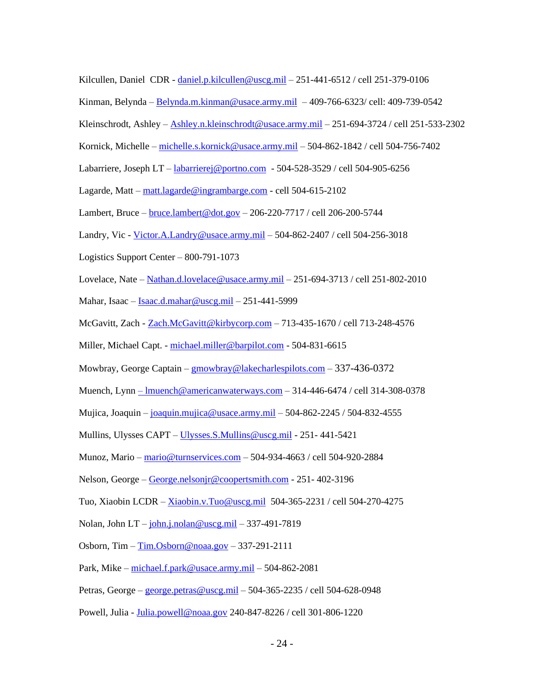Kilcullen, Daniel CDR - [daniel.p.kilcullen@uscg.mil](mailto:daniel.p.kilcullen@uscg.mil) – 251-441-6512 / cell 251-379-0106

- Kinman, Belynda [Belynda.m.kinman@usace.army.mil](mailto:Belynda.m.kinman@usace.army.mil) 409-766-6323/ cell: 409-739-0542
- Kleinschrodt, Ashley [Ashley.n.kleinschrodt@usace.army.mil](mailto:Ashley.n.kleinschrodt@usace.army.mil) 251-694-3724 / cell 251-533-2302
- Kornick, Michelle [michelle.s.kornick@usace.army.mil](mailto:michelle.s.kornick@usace.army.mil) 504-862-1842 / cell 504-756-7402
- Labarriere, Joseph LT [labarrierej@portno.com](mailto:labarrierej@portno.com)  504-528-3529 / cell 504-905-6256
- Lagarde, Matt [matt.lagarde@ingrambarge.com](mailto:matt.lagarde@ingrambarge.com) cell 504-615-2102
- Lambert, Bruce [bruce.lambert@dot.gov](mailto:bruce.lambert@dot.gov) 206-220-7717 / cell 206-200-5744
- Landry, Vic [Victor.A.Landry@usace.army.mil](mailto:Victor.A.Landry@usace.army.mil) 504-862-2407 / cell 504-256-3018
- Logistics Support Center 800-791-1073
- Lovelace, Nate [Nathan.d.lovelace@usace.army.mil](mailto:Nathan.d.lovelace@usace.army.mil)  $251-694-3713$  / cell  $251-802-2010$
- Mahar, Isaac [Isaac.d.mahar@uscg.mil](mailto:Isaac.d.mahar@uscg.mil) 251-441-5999
- McGavitt, Zach [Zach.McGavitt@kirbycorp.com](mailto:Zach.McGavitt@kirbycorp.com) 713-435-1670 / cell 713-248-4576
- Miller, Michael Capt. [michael.miller@barpilot.com](mailto:michael.miller@barpilot.com) 504-831-6615
- Mowbray, George Captain [gmowbray@lakecharlespilots.com](mailto:gmowbray@lakecharlespilots.com) 337-436-0372
- Muench, Lynn [lmuench@americanwaterways.com](mailto:–%20lmuench@americanwaterways.com) 314-446-6474 / cell 314-308-0378
- Mujica, Joaquin [joaquin.mujica@usace.army.mil](mailto:joaquin.mujica@usace.army.mil) 504-862-2245 / 504-832-4555
- Mullins, Ulysses CAPT [Ulysses.S.Mullins@uscg.mil](mailto:Ulysses.S.Mullins@uscg.mil) 251- 441-5421
- Munoz, Mario [mario@turnservices.com](mailto:mario@turnservices.com) 504-934-4663 / cell 504-920-2884
- Nelson, George [George.nelsonjr@coopertsmith.com](mailto:George.nelsonjr@coopertsmith.com) 251- 402-3196
- Tuo, Xiaobin LCDR [Xiaobin.v.Tuo@uscg.mil](mailto:Thao.v.nguyen@uscg.mil) 504-365-2231 / cell 504-270-4275
- Nolan, John  $LT john.i. nolan@useg.mil 337-491-7819$
- Osborn,  $Tim Tim. Osborn@noaa.gov 337-291-2111$
- Park, Mike [michael.f.park@usace.army.mil](mailto:michael.f.park@usace.army.mil) 504-862-2081
- Petras, George *[george.petras@uscg.mil](mailto:george.petras@uscg.mil)* 504-365-2235 / cell 504-628-0948
- Powell, Julia [Julia.powell@noaa.gov](mailto:Julia.powell@noaa.gov) 240-847-8226 / cell 301-806-1220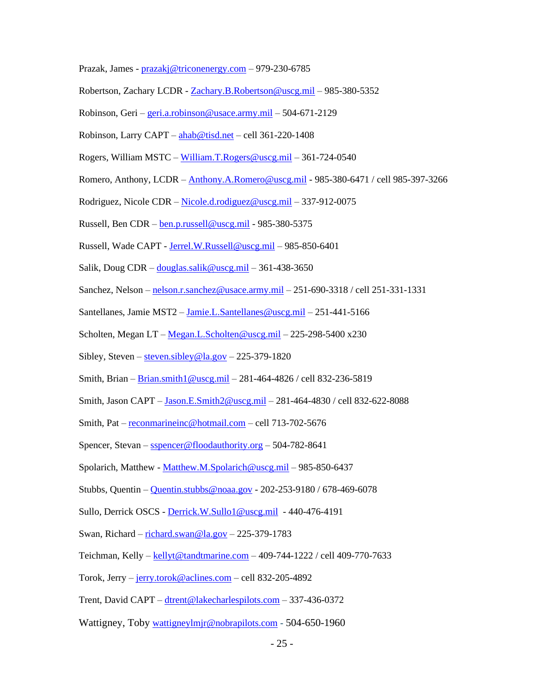- Prazak, James [prazakj@triconenergy.com](mailto:prazakj@triconenergy.com) 979-230-6785
- Robertson, Zachary LCDR [Zachary.B.Robertson@uscg.mil](mailto:Zachary.B.Robertson@uscg.mil) 985-380-5352
- Robinson, Geri [geri.a.robinson@usace.army.mil](mailto:geri.a.robinson@usace.army.mil) 504-671-2129
- Robinson, Larry CAPT [ahab@tisd.net](mailto:ahab@tisd.net) cell 361-220-1408
- Rogers, William MSTC [William.T.Rogers@uscg.mil](mailto:William.T.Rogers@uscg.mil) 361-724-0540
- Romero, Anthony, LCDR [Anthony.A.Romero@uscg.mil](mailto:Anthony.A.Romero@uscg.mil) 985-380-6471 / cell 985-397-3266
- Rodriguez, Nicole CDR [Nicole.d.rodiguez@uscg.mil](mailto:Nicole.d.rodiguez@uscg.mil) 337-912-0075
- Russell, Ben CDR [ben.p.russell@uscg.mil](mailto:ben.p.russell@uscg.mil) 985-380-5375
- Russell, Wade CAPT [Jerrel.W.Russell@uscg.mil](mailto:Jerrel.W.Russell@uscg.mil) 985-850-6401
- Salik, Doug CDR  $douglas.salik@useg.mil 361-438-3650$
- Sanchez, Nelson [nelson.r.sanchez@usace.army.mil](mailto:nelson.r.sanchez@usace.army.mil) 251-690-3318 / cell 251-331-1331
- Santellanes, Jamie MST2 [Jamie.L.Santellanes@uscg.mil](mailto:Jamie.L.Santellanes@uscg.mil) 251-441-5166
- Scholten, Megan LT [Megan.L.Scholten@uscg.mil](mailto:Megan.L.Scholten@uscg.mil) 225-298-5400 x230
- Sibley, Steven [steven.sibley@la.gov](mailto:steven.sibley@la.gov) 225-379-1820
- Smith, Brian [Brian.smith1@uscg.mil](mailto:Brian.smith1@uscg.mil) 281-464-4826 / cell 832-236-5819
- Smith, Jason CAPT [Jason.E.Smith2@uscg.mil](mailto:Jason.E.Smith2@uscg.mil) 281-464-4830 / cell 832-622-8088
- Smith, Pat [reconmarineinc@hotmail.com](mailto:reconmarineinc@hotmail.com) cell 713-702-5676
- Spencer, Stevan [sspencer@floodauthority.org](mailto:sspencer@floodauthority.org) 504-782-8641
- Spolarich, Matthew [Matthew.M.Spolarich@uscg.mil](mailto:Matthew.M.Spolarich@uscg.mil) 985-850-6437
- Stubbs, Quentin [Quentin.stubbs@noaa.gov](mailto:Quentin.stubbs@noaa.gove) 202-253-9180 / 678-469-6078
- Sullo, Derrick OSCS [Derrick.W.Sullo1@uscg.mil](mailto:Derrick.W.Sullo1@uscg.mil)  440-476-4191
- Swan, Richard  $richard.swan@la.gov 225-379-1783$  $richard.swan@la.gov 225-379-1783$
- Teichman, Kelly [kellyt@tandtmarine.com](mailto:kellyt@tandtmarine.com) 409-744-1222 / cell 409-770-7633
- Torok, Jerry [jerry.torok@aclines.com](mailto:jerry.torok@aclines.com) cell 832-205-4892
- Trent, David CAPT [dtrent@lakecharlespilots.com](mailto:dtrent@lakecharlespilots.com) 337-436-0372
- Wattigney, Toby [wattigneylmjr@nobrapilots.com](mailto:wattigneylmjr@nobrapilots.com) 504-650-1960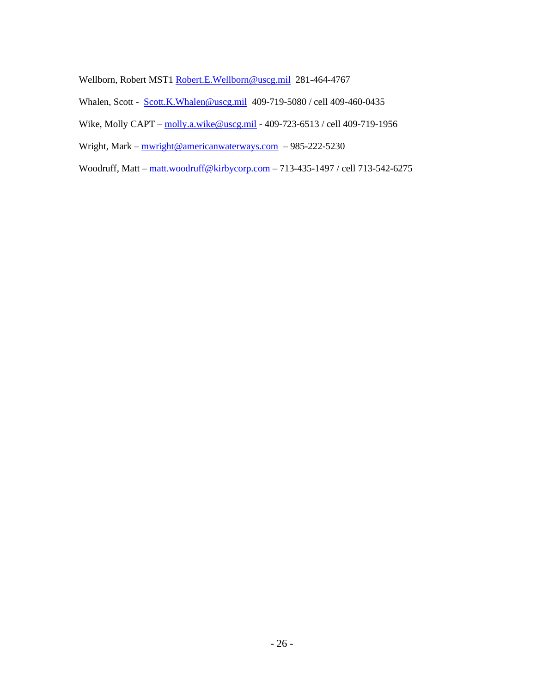Wellborn, Robert MST1 [Robert.E.Wellborn@uscg.mil](mailto:Robert.E.Wellborn@uscg.mil) 281-464-4767

Whalen, Scott - [Scott.K.Whalen@uscg.mil](mailto:Scott.K.Whalen@uscg.mil) 409-719-5080 / cell 409-460-0435

Wike, Molly CAPT – [molly.a.wike@uscg.mil](mailto:molly.a.wike@uscg.mil) - 409-723-6513 / cell 409-719-1956

Wright, Mark – [mwright@americanwaterways.com](mailto:mwright@americanwaterways.com) – 985-222-5230

Woodruff, Matt – [matt.woodruff@kirbycorp.com](mailto:matt.woodruff@kirbycorp.com) – 713-435-1497 / cell 713-542-6275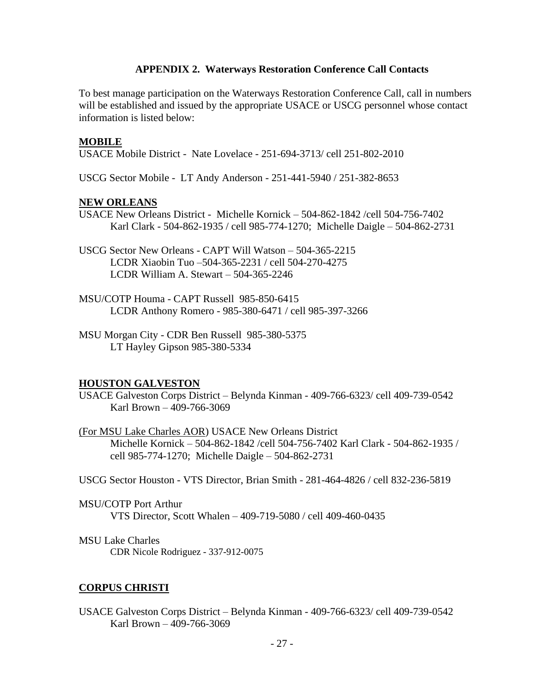### **APPENDIX 2. Waterways Restoration Conference Call Contacts**

To best manage participation on the Waterways Restoration Conference Call, call in numbers will be established and issued by the appropriate USACE or USCG personnel whose contact information is listed below:

### **MOBILE**

USACE Mobile District - Nate Lovelace - 251-694-3713/ cell 251-802-2010

USCG Sector Mobile - LT Andy Anderson - 251-441-5940 / 251-382-8653

### **NEW ORLEANS**

- USACE New Orleans District Michelle Kornick 504-862-1842 /cell 504-756-7402 Karl Clark - 504-862-1935 / cell 985-774-1270; Michelle Daigle – 504-862-2731
- USCG Sector New Orleans CAPT Will Watson 504-365-2215 LCDR Xiaobin Tuo –504-365-2231 / cell 504-270-4275 LCDR William A. Stewart – 504-365-2246
- MSU/COTP Houma CAPT Russell 985-850-6415 LCDR Anthony Romero - 985-380-6471 / cell 985-397-3266
- MSU Morgan City CDR Ben Russell 985-380-5375 LT Hayley Gipson 985-380-5334

### **HOUSTON GALVESTON**

- USACE Galveston Corps District Belynda Kinman 409-766-6323/ cell 409-739-0542 Karl Brown – 409-766-3069
- (For MSU Lake Charles AOR) USACE New Orleans District Michelle Kornick – 504-862-1842 /cell 504-756-7402 Karl Clark - 504-862-1935 / cell 985-774-1270; Michelle Daigle – 504-862-2731
- USCG Sector Houston VTS Director, Brian Smith 281-464-4826 / cell 832-236-5819
- MSU/COTP Port Arthur VTS Director, Scott Whalen – 409-719-5080 / cell 409-460-0435
- MSU Lake Charles CDR Nicole Rodriguez - 337-912-0075

### **CORPUS CHRISTI**

USACE Galveston Corps District – Belynda Kinman - 409-766-6323/ cell 409-739-0542 Karl Brown – 409-766-3069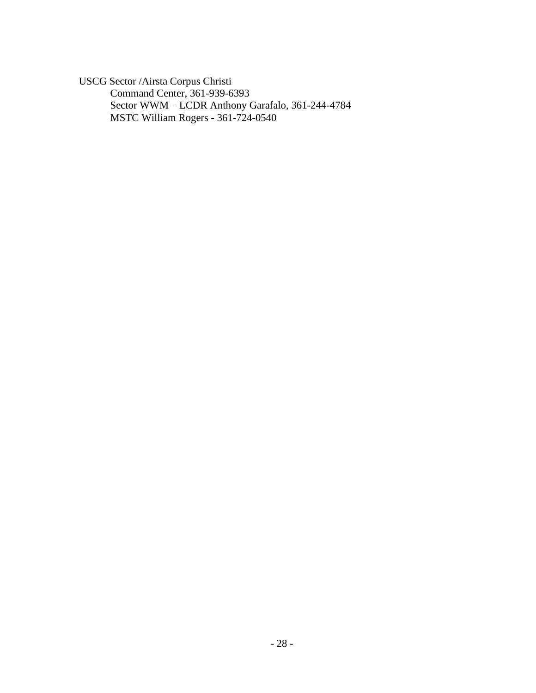USCG Sector /Airsta Corpus Christi Command Center, 361-939-6393 Sector WWM – LCDR Anthony Garafalo, 361-244-4784 MSTC William Rogers - 361-724-0540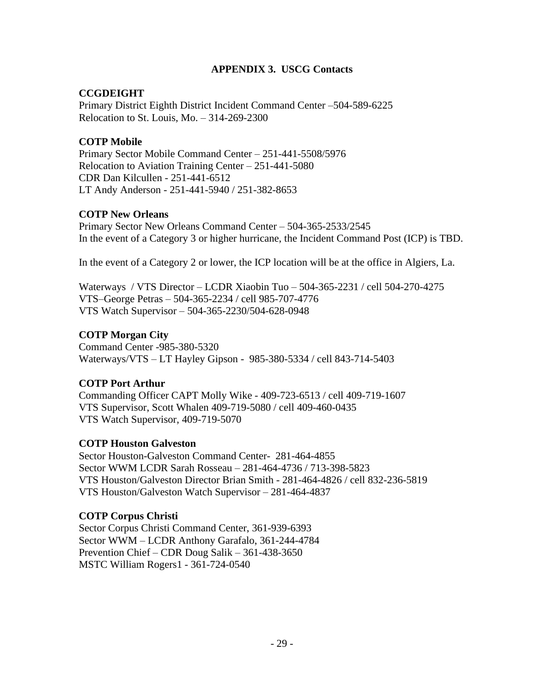### **APPENDIX 3. USCG Contacts**

### **CCGDEIGHT**

Primary District Eighth District Incident Command Center –504-589-6225 Relocation to St. Louis, Mo. – 314-269-2300

### **COTP Mobile**

Primary Sector Mobile Command Center – 251-441-5508/5976 Relocation to Aviation Training Center – 251-441-5080 CDR Dan Kilcullen - 251-441-6512 LT Andy Anderson - 251-441-5940 / 251-382-8653

### **COTP New Orleans**

Primary Sector New Orleans Command Center – 504-365-2533/2545 In the event of a Category 3 or higher hurricane, the Incident Command Post (ICP) is TBD.

In the event of a Category 2 or lower, the ICP location will be at the office in Algiers, La.

Waterways / VTS Director – LCDR Xiaobin Tuo – 504-365-2231 / cell 504-270-4275 VTS–George Petras – 504-365-2234 / cell 985-707-4776 VTS Watch Supervisor – 504-365-2230/504-628-0948

### **COTP Morgan City**

Command Center -985-380-5320 Waterways/VTS – LT Hayley Gipson - 985-380-5334 / cell 843-714-5403

#### **COTP Port Arthur**

Commanding Officer CAPT Molly Wike - 409-723-6513 / cell 409-719-1607 VTS Supervisor, Scott Whalen 409-719-5080 / cell 409-460-0435 VTS Watch Supervisor, 409-719-5070

#### **COTP Houston Galveston**

Sector Houston-Galveston Command Center- 281-464-4855 Sector WWM LCDR Sarah Rosseau – 281-464-4736 / 713-398-5823 VTS Houston/Galveston Director Brian Smith - 281-464-4826 / cell 832-236-5819 VTS Houston/Galveston Watch Supervisor – 281-464-4837

### **COTP Corpus Christi**

Sector Corpus Christi Command Center, 361-939-6393 Sector WWM – LCDR Anthony Garafalo, 361-244-4784 Prevention Chief – CDR Doug Salik – 361-438-3650 MSTC William Rogers1 - 361-724-0540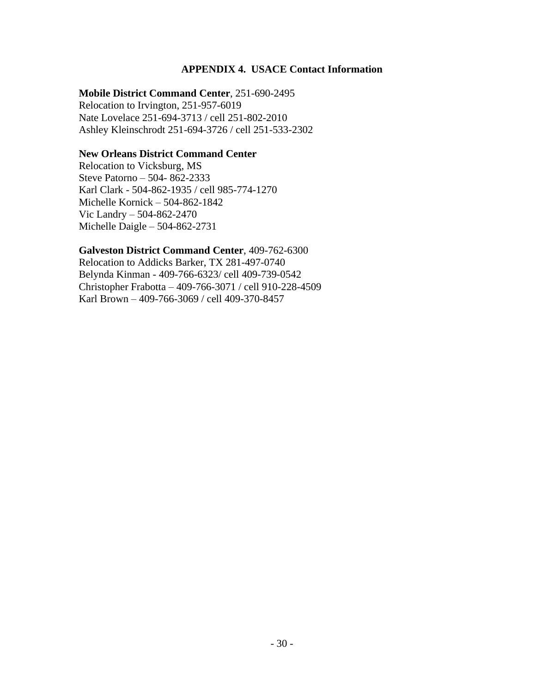#### **APPENDIX 4. USACE Contact Information**

### **Mobile District Command Center**, 251-690-2495

Relocation to Irvington, 251-957-6019 Nate Lovelace 251-694-3713 / cell 251-802-2010 Ashley Kleinschrodt 251-694-3726 / cell 251-533-2302

#### **New Orleans District Command Center**

Relocation to Vicksburg, MS Steve Patorno – 504- 862-2333 Karl Clark - 504-862-1935 / cell 985-774-1270 Michelle Kornick – 504-862-1842 Vic Landry – 504-862-2470 Michelle Daigle – 504-862-2731

#### **Galveston District Command Center**, 409-762-6300

Relocation to Addicks Barker, TX 281-497-0740 Belynda Kinman - 409-766-6323/ cell 409-739-0542 Christopher Frabotta – 409-766-3071 / cell 910-228-4509 Karl Brown – 409-766-3069 / cell 409-370-8457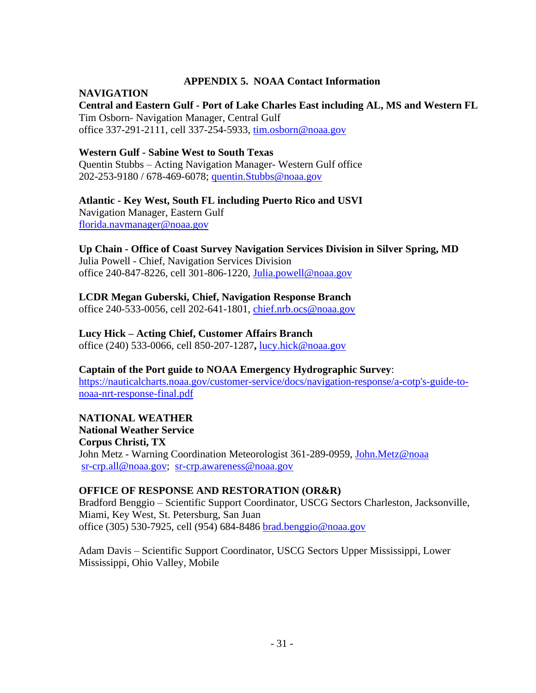### **APPENDIX 5. NOAA Contact Information**

#### **NAVIGATION**

**Central and Eastern Gulf - Port of Lake Charles East including AL, MS and Western FL**  Tim Osborn- Navigation Manager, Central Gulf office 337-291-2111, cell 337-254-5933, [tim.osborn@noaa.gov](mailto:tim.osborn@noaa.gov)

#### **Western Gulf - Sabine West to South Texas**

Quentin Stubbs – Acting Navigation Manager- Western Gulf office 202-253-9180 / 678-469-6078; [quentin.Stubbs@noaa.gov](mailto:quentin.Stubbs@noaa.gov)

#### **Atlantic - Key West, South FL including Puerto Rico and USVI**

Navigation Manager, Eastern Gulf [florida.navmanager@noaa.gov](mailto:florida.navmanager@noaa.gov)

#### **Up Chain - Office of Coast Survey Navigation Services Division in Silver Spring, MD**

Julia Powell - Chief, Navigation Services Division office 240-847-8226, cell 301-806-1220, [Julia.powell@noaa.gov](mailto:Julia.powell@noaa.gov)

#### **LCDR Megan Guberski, Chief, Navigation Response Branch**

office 240-533-0056, cell 202-641-1801, [chief.nrb.ocs@noaa.gov](mailto:chief.nrb.ocs@noaa.gov)

#### **Lucy Hick – Acting Chief, Customer Affairs Branch**

office (240) 533-0066, cell 850-207-1287**,** lucy.hick@noaa.gov

#### **Captain of the Port guide to NOAA Emergency Hydrographic Survey**:

[https://nauticalcharts.noaa.gov/customer-service/docs/navigation-response/a-cotp's-guide-to](https://nauticalcharts.noaa.gov/customer-service/docs/navigation-response/a-cotp)[noaa-nrt-response-final.pdf](https://nauticalcharts.noaa.gov/customer-service/docs/navigation-response/a-cotp)

#### **NATIONAL WEATHER**

**National Weather Service Corpus Christi, TX** John Metz - Warning Coordination Meteorologist 361-289-0959, [John.Metz@noaa](mailto:John.Metz@noaa) [sr-crp.all@noaa.gov;](mailto:sr-crp.all@noaa.gov) [sr-crp.awareness@noaa.gov](mailto:sr-crp.awareness@noaa.gov)

#### **OFFICE OF RESPONSE AND RESTORATION (OR&R)**

Bradford Benggio – Scientific Support Coordinator, USCG Sectors Charleston, Jacksonville, Miami, Key West, St. Petersburg, San Juan office (305) 530-7925, cell (954) 684-8486 [brad.benggio@noaa.gov](../Downloads/brad.benggio@noaa.gov)

Adam Davis – Scientific Support Coordinator, USCG Sectors Upper Mississippi, Lower Mississippi, Ohio Valley, Mobile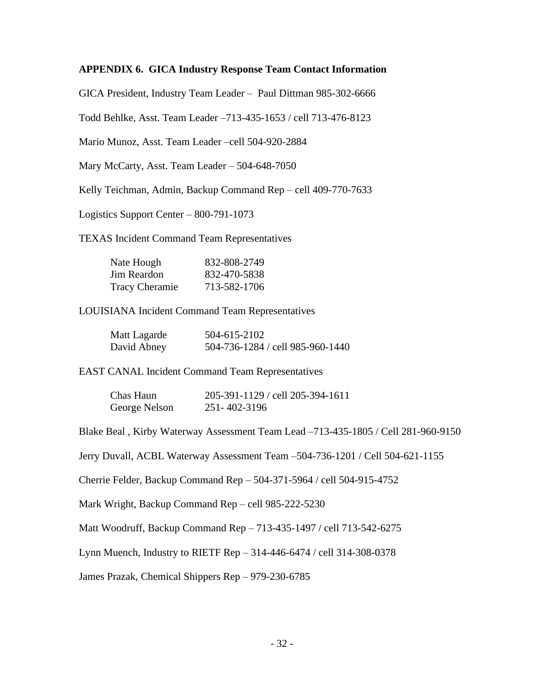#### **APPENDIX 6. GICA Industry Response Team Contact Information**

GICA President, Industry Team Leader – Paul Dittman 985-302-6666

Todd Behlke, Asst. Team Leader –713-435-1653 / cell 713-476-8123

Mario Munoz, Asst. Team Leader –cell 504-920-2884

Mary McCarty, Asst. Team Leader – 504-648-7050

Kelly Teichman, Admin, Backup Command Rep – cell 409-770-7633

Logistics Support Center – 800-791-1073

TEXAS Incident Command Team Representatives

| Nate Hough            | 832-808-2749 |
|-----------------------|--------------|
| Jim Reardon           | 832-470-5838 |
| <b>Tracy Cheramie</b> | 713-582-1706 |

LOUISIANA Incident Command Team Representatives

| Matt Lagarde | 504-615-2102                     |
|--------------|----------------------------------|
| David Abney  | 504-736-1284 / cell 985-960-1440 |

EAST CANAL Incident Command Team Representatives

| Chas Haun     | 205-391-1129 / cell 205-394-1611 |
|---------------|----------------------------------|
| George Nelson | 251 - 402 - 3196                 |

Blake Beal , Kirby Waterway Assessment Team Lead –713-435-1805 / Cell 281-960-9150

Jerry Duvall, ACBL Waterway Assessment Team –504-736-1201 / Cell 504-621-1155

Cherrie Felder, Backup Command Rep – 504-371-5964 / cell 504-915-4752

Mark Wright, Backup Command Rep – cell 985-222-5230

Matt Woodruff, Backup Command Rep – 713-435-1497 / cell 713-542-6275

Lynn Muench, Industry to RIETF Rep – 314-446-6474 / cell 314-308-0378

James Prazak, Chemical Shippers Rep – 979-230-6785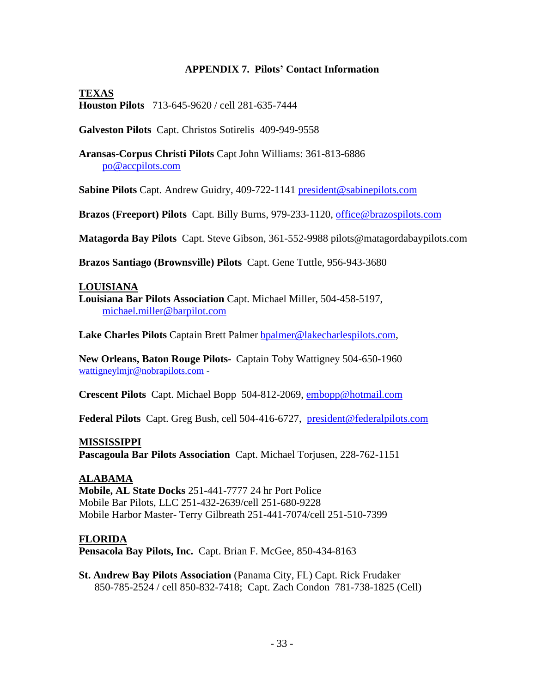### **APPENDIX 7. Pilots' Contact Information**

### **TEXAS**

**Houston Pilots** 713-645-9620 / cell 281-635-7444

**Galveston Pilots** Capt. Christos Sotirelis 409-949-9558

**Aransas-Corpus Christi Pilots** Capt John Williams: 361-813-6886 [po@accpilots.com](mailto:po@accpilots.com)

**Sabine Pilots** Capt. Andrew Guidry, 409-722-1141 [president@sabinepilots.com](mailto:president@sabinepilots.com)

**Brazos (Freeport) Pilots** Capt. Billy Burns, 979-233-1120, [office@brazospilots.com](mailto:office@brazospilots.com)

**Matagorda Bay Pilots** Capt. Steve Gibson, 361-552-9988 pilots@matagordabaypilots.com

**Brazos Santiago (Brownsville) Pilots** Capt. Gene Tuttle, 956-943-3680

### **LOUISIANA**

**Louisiana Bar Pilots Association** Capt. Michael Miller, 504-458-5197, [michael.miller@barpilot.com](mailto:michael.miller@barpilot.com)

Lake Charles Pilots Captain Brett Palmer [bpalmer@lakecharlespilots.com,](mailto:bpalmer@lakecharlespilots.com)

**New Orleans, Baton Rouge Pilots-** Captain Toby Wattigney 504-650-1960 [wattigneylmjr@nobrapilots.com](mailto:wattigneylmjr@nobrapilots.com) -

**Crescent Pilots** Capt. Michael Bopp 504-812-2069, [embopp@hotmail.com](mailto:embopp@hotmail.com)

**Federal Pilots** Capt. Greg Bush, cell 504-416-6727, [president@federalpilots.com](mailto:president@federalpilots.com)

#### **MISSISSIPPI**

**Pascagoula Bar Pilots Association** Capt. Michael Torjusen, 228-762-1151

#### **ALABAMA**

**Mobile, AL State Docks** 251-441-7777 24 hr Port Police Mobile Bar Pilots, LLC 251-432-2639/cell 251-680-9228 Mobile Harbor Master- Terry Gilbreath 251-441-7074/cell 251-510-7399

#### **FLORIDA**

Pensacola Bay Pilots, Inc. Capt. Brian F. McGee, 850-434-8163

**St. Andrew Bay Pilots Association** (Panama City, FL) Capt. Rick Frudaker 850-785-2524 / cell 850-832-7418; Capt. Zach Condon 781-738-1825 (Cell)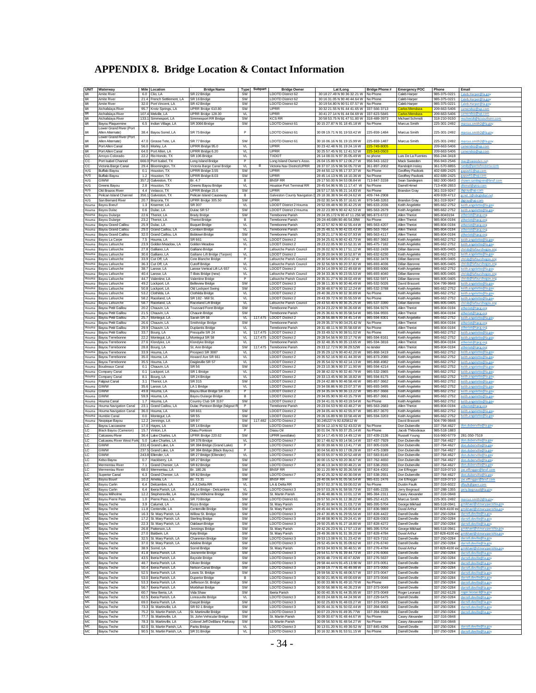# **APPENDIX 8. Bridge Location & Contact Information**

| <b>UNIT</b>       | Waterway                                                 |              | Mile Location                                | <b>Bridge Name</b>                                  |                 | Type Subpart       | <b>Bridge Owner</b>                                 | Lat /Long                                                  | <b>Bridge Phone#</b>         | <b>Emergency POC</b>                           | Phone                          | Email                                                          |
|-------------------|----------------------------------------------------------|--------------|----------------------------------------------|-----------------------------------------------------|-----------------|--------------------|-----------------------------------------------------|------------------------------------------------------------|------------------------------|------------------------------------------------|--------------------------------|----------------------------------------------------------------|
| <b>RR</b>         | <b>Amite River</b>                                       | 6.0          | Clio, LA                                     | SR 22 Bridge                                        | SW              |                    | <b>LDOTD District 62</b>                            | 30 18 27.49 N 90 36 32.21 W                                | No Phone                     | Caleb Harper                                   | 985-375-0221                   | Caleb Harner@la.go                                             |
| BR                | <b>Amite Rive</b>                                        | 21.4         | French Settlement, LA                        | SR 16 Bridge                                        | SW              |                    | <b>LDOTD District 62</b>                            | 30 16 31.05 N 90 46 44.64 W                                | No Phone                     | Caleb Harper                                   | 985-375-0221                   | Caleb.Harper@la.gov                                            |
| BR                | Amite River                                              |              | 32.0 Port Vincent, LA                        | SR 42 Bridge                                        | <b>SW</b>       |                    | <b>LDOTD District 62</b>                            | 30 19 54.80 N 90 51 07.57 W                                | No Phone                     | Caleb Harper                                   | 985-375-0221                   | Caleb.Harper@la.gov                                            |
| <b>BR</b>         | Atchafalava River                                        |              | 95.7 Krotz Springs, LA                       | UPRR Bridge 610.80                                  | SW              |                    | UPRR                                                | 30 32 21.55 N 91 44 41.65 W                                | 337-566-3713                 | Carlos Mendoza                                 | 209-663-5406                   | amendoz@up.com                                                 |
| BR                | Atchafalava River                                        | 107.4        | Melville, LA                                 | UPRR Bridge 128.30                                  | VL              |                    | UPRR                                                | 30 41 27 14 N 91 44 04 69 W                                | 337-623-5845                 | arlos Mendoza                                  | 209-663-5406                   | camendoz@up.com                                                |
| BR                | Atchafalaya River                                        | 133.         | Simmesport, LA                               | Simmesport RR Bridge                                | <b>SW</b>       |                    | <b>KCS RF</b>                                       | 30 58 53.75 N 91 47 51.80 W                                | 318-489-3973                 | lichael Schmidt                                | 318-210-9150                   |                                                                |
| <b>BR</b>         | Bayou Plaquemine<br>Lower Grand River (Po                | 6.5          | Indian Village, LA                           | SR 3066 Bridge                                      | <b>SW</b>       |                    | LDOTD District 61                                   | 30 15 27.87 N 91 18 45.18 W                                | No Phone                     | Marcus Smith                                   | 225-301-2492                   |                                                                |
| <b>BR</b>         | Allen Alternate)                                         | 38.4         | Bayou Sorrel. LA                             | SR 75 Bridge                                        | P               |                    | LDOTD District 61                                   | 30.09.19.71 N 91.19.53.42 W                                | 225-659-1484                 | Marcus Smith                                   | 225-301-2492                   | narcus.smith2@la.go                                            |
|                   | ower Grand River (Port                                   |              |                                              |                                                     |                 |                    |                                                     |                                                            |                              |                                                |                                |                                                                |
| <b>BR</b>         | Allen Alternate)                                         | 47.0         | Grosse Tete, LA                              | SR 77 Bridge                                        | SW              |                    | LDOTD District 61                                   | 30 16 06 16 N 91 19 15 99 W                                | 225-659-1487                 | Marcus Smith                                   | 225-301-2492                   | marcus.smith2@la.eo                                            |
| BR                | Port Allen Cana                                          |              | 56.0 Morley, LA                              | UPRR Bridge 95.0                                    | VL              |                    | UPRR                                                | 30 23 42.48 N 91 19 24.16 W                                | 25-749-8005                  |                                                | 209-663-5406                   | camendoz@up.con                                                |
| BR<br>$_{\rm cc}$ | Port Allen Canal<br>Arroyo-Colorado                      | 22.2         | 64.0 Port Allen, LA<br>Rio Hondo, TX         | UPRR Bridge 6.20<br>SR 106 Bridge                   | ΛL<br>VL        |                    | <b>UPRR</b><br>TXDOT                                | 30 25 57.45 N 91 12 41.52 W<br>26 14 08.01 N 97 35 05.49 W | 25-343-0503<br>no phone      | Luis De La Fuentes                             | 209-663-5406<br>956-244-3418   | camendoz@up.com                                                |
| $_{\rm cc}$       | Port Isabel Channe                                       | 666.C        | Port Isabel, TX                              | Long Island Bridg                                   | P               |                    | Long Island Owner's Asso.                           | 26 04 15.89 N 97 12 06.27 W                                | 956-943-1622                 | Mack Sweeden                                   | 956-943-2546                   | mac@sweeden.net                                                |
| CC                | Victoria Barge Canal                                     | 29.4         | Bloomington, TX                              | Victoria Barge Canal Bridge                         | VL              |                    | Victoria Nav District/UPRR                          | 28 37 07.15 N 96 56 05.70 W                                | 361-897-2002                 | Randolph Insley                                | 361-570-8855                   |                                                                |
| H/G               | Buffalo Bayou                                            | 0.1          | Houston, TX                                  | UPRR Bridge 3.55                                    | <b>SW</b>       |                    | UPRR                                                | 29 44 50.12 N 95 17 37.37 W                                | No Phone                     | Geoffrey Pavlice                               | 402-689-2425                   |                                                                |
| H/G               | Buffalo Bayou                                            | 1.2          | Houston, TX                                  | UPRR Bridge 8.03                                    | <b>SW</b>       |                    | <b>UPRR</b>                                         | 29 45 14.13 N 95 18 10.36 W                                | No Phone                     | Geoffrey Pavlicek                              | 402-689-2425                   | eanavli1@un.com                                                |
| H/G               | GIWW<br>Greens Bavou                                     |              | 357.2 Galveston, TX                          | Br. 4.7                                             | B               |                    | <b>BNSF RR</b>                                      | 29 17 50.00 N 94 53 08.84 W                                | 713-847-3159                 | Sean Sandegren                                 | 682-300-0643                   |                                                                |
| H/G<br>H/G        | Old Brazos River                                         | 4.4          | 2.8 Houston, TX                              | Greens Bayou Bridge<br>UPRR Bridge 15.6             | VL<br>SW        |                    | Houston Port Terminal RR<br>UPRR                    | 29 45 54.96 N 95 11 17.47 W<br>28 57 17.55 N 95 21 14.83 W | No Phone<br>No Phone         | Darrell Himel<br><b>Brandon Grav</b>           | 713-408-2653<br>361-319-9247   | himel@ptra.com<br>bgray@up.com                                 |
| H/G               | Pelican Island Channel                                   | 356.1        | Velasco, TX<br><b>Galveston, TX</b>          | Pelican Island Causewav                             | в               |                    | Galveston County Navigation                         | 29 18 38 38 N 94 49 24 62 W                                | 409-744-2908                 |                                                | 409-939-4712                   | gcnd 1@sbcglobal.net                                           |
| H/G               | ian Bernard River                                        | 20.7         | Brazoria, TX                                 | UPRR Bridge 305.50                                  | SW              |                    | JPRF                                                | !9 02 30.54 N 95 37 16.61 W                                | 79-548-3263                  | Brandon Grav                                   | 361-319-9247                   | bgray@up.com                                                   |
| Houm              | Bayou Boeut                                              | 1.3          | Kraemer, LA                                  | SR 307                                              | VL              |                    | LDODT District 2 Houma                              | 29 52 09.48 N 90 35 42.25 W                                | 985-633-2036                 | Keith Angelette                                | 985-662-2752                   |                                                                |
| Houma             | Bayou Dulac                                              | 0.6          | Dulac, LA                                    | Dulac SR 57                                         | <b>SW</b>       |                    | LDODT District 2 Houma                              | 29 22 23.99 N 90 42 42.53 W                                | 985-563-2679                 | Keith Angelette                                | 985-662-2752                   |                                                                |
| Houma             | <b>Bayou Dularge</b>                                     |              | 22.6 Theriot, LA                             | <b>Brady Bridge</b>                                 | SW              |                    | Terrebonne Parish                                   | 29 24 35.172 N 90 47 11.256 W 985-873-6722                 |                              | Allen Theriot                                  | 985-8040194                    | atheriot@toce.ore                                              |
| Houma             | Bayou Dularge                                            | 23.2         | Theriot, LA                                  | <b>Theriot Bridge</b>                               | B               |                    | Terrebonne Parish                                   | 29-24-46.68N 90-46-54.39W                                  | No Phone                     | Allen Theriot                                  | 985-804-0194                   | atheriot@tpcg.org                                              |
| Houma<br>Houma    | <b>Bayou Grand Caillou</b><br><b>Bayou Grand Caillou</b> |              | 25.9 Dulac, LA<br>29.0 Grand Caillou, LA     | <b>Buquet Bridge</b><br>Combon Bridge               | ΛL<br>VL        |                    | Terrebonne Parish<br><b>Terrebonne Parish</b>       | 29 22 57.92 N 90 42 55.44 W<br>29 25 48.51 N 90 42 03.43 W | 985-563-4207<br>985-563-7654 | Allen Theriot<br>Allen Theriot                 | 985-804-0194<br>985-804-0194   | theriot@tpcg.org<br>atheriot@tpcg.org                          |
| Houma             | <b>Bayou Grand Caillou</b>                               |              | 32.0 Grand Caillou, LA                       | <b>Bobtown Bridge</b>                               | SW              |                    | Terrebonne Parish                                   | 29 28 21.17 N 90 42 07.93 W                                | 985-563-4117                 | Allen Theriot                                  | 985-804-0194                   | atheriot@tpcg.org                                              |
| Houma             | Bayou La Carpe                                           | 7.5          | Houma, LA                                    | SR 661                                              | VL              |                    | DODT District 2                                     | 29 34 25.61 N 90 42 43.73 W                                | 985-857-3663                 | Keith Angelette                                | 985-662-2752                   | eith.angelette@la.gov                                          |
| Houma             | Bayou Lafourche                                          | 23.9         | Golden Meadow, LA                            | Golden Meadow                                       | VL              |                    | LDODT District 2                                    | 29 23 22.05 N 90 15 52.31 W                                | 985-475-7182                 | Keith Angelette                                | 985-662-2752                   |                                                                |
| Houma             | Bayou Lafourche                                          |              | 27.8 Galliano, LA                            | Galliano Bridge                                     | P               |                    | Lafourche Parish Council                            | 29 26 02.92 N 90 17 51.12 W                                | 985-632-2439                 | <b>Dillan Baronne</b>                          | 985-805-0405                   |                                                                |
| Houma             | Bayou Lafourche                                          |              | 30.6 Galliano, LA                            | Galliano Lift Bridge (Tarpon)                       | VL              |                    | <b>LDODT District 2</b>                             | 29 28 20.04 N 90 18 52.87 W                                | 985-632-6230                 | Keith Angelette                                | 985-662-2752                   |                                                                |
| Houma<br>Houma    | Bayou Lafourche<br>Bayou Lafourche                       | 33.9         | Cut Off, LA<br>36.3 Cut Off, LA              | Cote Blanche Bridge<br><b>Cutoff Bridge</b>         | P<br>VL         |                    | Lafourche Parish Counci<br>Lafourche Parish Council | 29 30 54.68 N 90 20 0.12 W<br>29 32 56.59 N 90 20 37.82 W  | 985-632-3478<br>985-693-4036 | <b>Dillan Baronne</b><br><b>Dillan Baronne</b> | 985-805-0405<br>985-805-0405   |                                                                |
| Houma             | Bavou Lafourche                                          | 38.7         | Larose, LA                                   | Larose Vertical Lift LA 657                         | VL              |                    | <b>LDODT District 2</b>                             | 29 34 14.09 N 90 22 49.68 W                                | 985-693-6066                 | Keith Angelette                                | 985-662-2752                   | ceith.angelette@la.gov                                         |
| Houma             | Bayou Lafourche                                          | 40.4         | Larose, LA                                   | <b>F-Bois Bridge (new)</b>                          | VL              |                    | afourche Parish Council                             | 29 34 33 36 N 90 23 55 53 W                                | 385-693-4040                 | Dillan Baronne                                 | 985-805-0405                   | <b>A</b> OFE                                                   |
| Houma             | Bayou Lafourche                                          | 44.7         | Valentine, LA                                | Valentine Bridge                                    | P               |                    | afourche Parish Counci                              | 29 35 31.27 N 90 28 02.49 W                                | 985-532-597                  | Dillan Baronne                                 | 985-805-0405                   |                                                                |
| Houma             | <b>Bayou Lafourche</b>                                   | 49.2         | Lockport, LA                                 | <b>Belleview Bridge</b>                             | SW              |                    | <b>LDODT District 3</b>                             | 29 38 11.30 N 90 30 46.49 W                                | 985-532-5026                 | David Brassett                                 | 504-799-9848                   |                                                                |
| Houma             | Bayou Lafourche                                          | 50.8         | Lockport, LA                                 | Old Lockport Swing                                  | SW              |                    | <b>LDODT District 2</b>                             | 29 38 48.67 N 90 32 12.24 W                                | 985-532-3788                 | Keith Angelette                                | 985-662-2752                   | keith.angelette@la.gov                                         |
| Houma             | <b>Bayou Lafourche</b><br>Bayou Lafourche                | 53.2         | Clothilda   A<br>58.2 Raceland, LA           | Clothilda Bridge<br>SR 182 - Mill St.               | VL              |                    | <b>LDODT District 2</b>                             | 29 40 38.23 N 90 32 30.89 W<br>29 43 39.72 N 90 35 55.59 W | No Phone                     | Keith Angelette<br>Keith Angelette             | 985-662-2752<br>985-662-2752   | eith.angelette@la.gov                                          |
| Houma<br>Houma    | Bayou Lafourche                                          | 58.7         | Raceland, LA                                 | Raceland Lift Bridge                                | ΛL<br>VL        |                    | <b>LDODT District 2</b><br>Lafourche Parish Council | 29 43 50.40 N 90 36 25.25 W                                | No Phone<br>985-537-3390     | <b>Dillan Baronne</b>                          | 985-805-0405                   | ceith.angelette@la.gov                                         |
| Houma             | <b>Bayou Petit Gaillou</b>                               |              | 20.2 Chauvin, LA                             | Toussard Foret Bridge                               | SW              |                    | Terrebonne Parish                                   | 29 24 23 22 N 90 36 26 68 W                                | 985-594-9276                 | Allen Theriot                                  | 985-804-0194                   | atheriot@tpcg.org                                              |
| Houma             | Bayou Petit Gaillou                                      | 21.5         | Chauvin, LA                                  | Chauvin Bridge                                      | SW              |                    | Terrebonne Parish                                   | 29 25 36.61 N 90 35 58.54 W                                | 385-594-9555                 | Allen Theriot                                  | 985-804-0194                   | theriot@tpcg.org                                               |
| Houma             | Bayou Petit Gaillou                                      | 25.7         | Montegut, LA                                 | Sarah SR 58                                         | ΛL              | 117.475            | <b>LDODT District 2</b>                             | 29 28 56.88 N 90 34 45.14 W                                | 985-594-8301                 | Keith Angelette                                | 985-662-2752                   |                                                                |
| Houma             | Bayou Petit Gaillou                                      |              | 26.6 Chauvin, LA                             | Smithridge Bridge                                   | SW              |                    | Terrebonne Parish                                   | 29 29 35.37 N 90-34 25.42 W                                | No Phone                     | <b>Allen Theriot</b>                           | 985-804-0194                   | atheriot@tpcg.org                                              |
| Houma             | <b>Bavou Petit Gaillou</b>                               |              | 29.9 Chauvin, LA                             | <b>Duplantis Bridge</b>                             | VL              |                    | Terrebonne Parish                                   | 29 31 48.11 N 90 35 58.68 W                                | No Phone                     | Allen Theriot                                  | 985-804-0194                   | atheriot@tpcg.ori                                              |
| Houma<br>Houma    | Bayou Petit Gaillou                                      | 33.7         | Bourg, LA                                    | Presquille SR 24<br>Montegut SR 58                  | VL              | 117.475<br>117,475 | <b>LDODT District 2</b>                             | 29 33 49.52 N 90 38 51.02 W                                | No Phone                     | Keith Angelette                                | 985-662-2752<br>985-662-2752   | eith.angelette@la.go<br>ceith.angelette@la.go                  |
| Houma             | Bayou Terrebonne<br>Bayou Terrebonne                     |              | 22.2 Montegut, LA<br>27.6 Klondyke, LA       | Klondyke Bridge                                     | VL<br>VI        |                    | <b>LDODT District 2</b><br><b>Terrebonne Parish</b> | 29 28 54.56 N 90 33 17.76 W<br>29 32 48.35 N 90 35 13.65 W | 985-594-816<br>985-594-3816  | Keith Angelette<br>Allen Theriot               | 985-804-0194                   | atheriot@tpcg.org                                              |
| Houma             | kayou Terrebonne                                         | 28.8         | Bourg, LA                                    | St. Ann Bridge                                      | SW              | 117.475            | Terrebonne Parish                                   | 933 12.72 N 90 36 29.52W                                   | no tende                     | <b>Vien Theriot</b>                            | 985-804-0194                   | atheriot@tpcg.org                                              |
| Houma             | ayou Terrebonne                                          | 33.9         | Houma, LA                                    | Prospect SR 3081                                    | VL              |                    | DODT District 2                                     | 29 35 29.12 N 90 40 42.20 W                                | 985-868-3419                 | Keith Angelette                                | 985-662-2752                   |                                                                |
| Houma             | Bayou Terrebonne                                         | 35.0         | Houma, LA                                    | Howard Ave SR 661                                   | VL              |                    | <b>LDODT District 2</b>                             | 29 35 52.16 N 90 41 44.30 W                                | 985-873-2080                 | Keith Angelette                                | 985-662-2752                   |                                                                |
| Houma             | Bavou Terrebonne                                         |              | 35.5 Houma, LA                               | Daigleville SR 57                                   | VL              |                    | <b>LDODT District 2</b>                             | 29 35 54.02 N 90 42 14.13 W                                | 985-868-4982                 | Keith Angelette                                | 985-662-2752                   | eith angelette@la.go                                           |
| Houma             | Boudreaux Cana                                           | 0.1          | Chauvin, LA                                  | SR 56                                               | SW              |                    | <b>LDODT District 2</b>                             | 29 23 10.36 N 90 37 11.90 W                                | 985-594-4214                 | Keith Angelette                                | 985-662-2752                   | ceith.angelette@la.go                                          |
| Houma<br>Houma    | Company Canal<br>Company Canal                           | 0.1          | Lockport, LA<br>8.1 Bourg, LA                | SR 1 Bridge<br>SR 24 Bridge                         | ΛL<br>VL        |                    | <b>LDODT District 2</b><br><b>LDODT District 2</b>  | 29 38 42.02 N 90 32 40.79 W<br>29 33 13.45 N 90 36 18.82 W | 985-532-2865<br>985-594-8175 | Keith Angelette<br>Keith Angelette             | 985-662-2752<br>985-662-2752   | ceith.angelette@la.go<br>ceith.angelette@la.go                 |
| Houma             | Falgout Canal                                            | 3.1          | Theriot, LA                                  | SR 315                                              | SW              |                    | <b>LDODT District 2</b>                             | 29 24 42.88 N 90 46 58.46 W                                | 985-857-3662                 | Keith Angelette                                | 985-662-2752                   | keith.angelette@la.gov                                         |
| Houma             | GIWW                                                     | 35.6         | Larose, LA                                   | LA 1 Bridge                                         | VL              |                    | DODT District 2                                     | 29 34 08.86 N 90 23 07.37 W                                | 385-693-3495                 | Keith Angelette                                | 985-662-2752                   | eith.angelette@la.gov                                          |
| Houma             | <b>SIWW</b>                                              | 49.8         | Houma, LA                                    | Bayou Blue Bridge SR 316                            | P               |                    | <b>LDODT District 2</b>                             | 29 34 35.04 N 90 36 13.22 W                                | 985-857-3666                 | Keith Angelette                                | 985-662-2752                   |                                                                |
| Houma             | GIWW                                                     |              | 59.9 Houma, LA                               | Bayou Dularge Bridge                                | в               |                    | <b>LDODT District 2</b>                             | 29 34 05.90 N 90 43 15.79 W                                | 985-857-3661                 | Keith Angelette                                | 985-662-2752                   |                                                                |
| Houma             | Houma Canal                                              |              | 1.7 Houma, LA                                | Country Club SR 3197                                | SW              |                    | <b>LDODT District 2</b>                             | 29 34 41.01 N 90 43 19.54 W                                | No Phone                     | Keith Angelette                                | 985-662-2752                   | keith.angelette@la.gov                                         |
| Houma<br>Houma    | louma Navigation Cana                                    | 23.1         | Grand Caillou, LA                            | Dulac Pontoon Bridge (falgout                       | P               |                    | Terrebonne Parish                                   | 29 23 04.53 N 90 43 48.27 W                                | 985-563-2683<br>985-857-3670 | Allen Theriot                                  | 985-804-0194<br>985-662-2752   | atheriot@tpcg.org<br>ceith.angelette@la.go                     |
| Houma             | Houma Navigation Canal<br>Humble Canal                   |              | 36.0 Houma, LA<br>0.0 Montegut, LA           | SR 661<br>SR 55                                     | SW<br>SW        |                    | <b>LDODT District 2</b><br><b>LDODT District 2</b>  | 29 34 05.44 N 90 42 55.97 W<br>29 26 16.89 N 90 33 58.46 W | 985-594-3203                 | Keith Angelette<br>Keith Angelette             | 985-662-2752                   | keith.angelette@la.gov                                         |
| Houma             | lezpique Bayou                                           | 12.2         | Jennings, LA                                 | SR 97                                               | SW              | 117.482            | LDOTD District 2                                    | 0.245227 N 92.625812 W                                     |                              | David Brassett                                 | 504-799-9848                   |                                                                |
| LC                | avou Laccassin                                           |              | Hayes, LA                                    | SR 14 Bridge                                        | SW              |                    | DOTD District 7                                     | 30 04 12.10 N 92 52 43.02 W                                | No Phone                     | <b>Don Duberville</b>                          | 337-764-4627                   |                                                                |
| LC                | Black Bayou (Cameron)                                    | 15.7         | Vinton, LA                                   | Diasu Pontoon                                       | P               |                    | Diasu Oil                                           | 30 01 04.78 N 93 37 25.14 W                                | No Phone                     | Jacob Thibodeaux                               | 985-518-1883                   |                                                                |
| ГC                | Calcasieu Rive<br>Calcasieu River West Fo                |              | 36.4 Lake Charles, LA<br>Lake Charles, LA    | UPRR Bridge 220.62                                  | SW              |                    | <b>UPRR</b> (westlake)                              | 30 14 17.45 N 93 14 49.12 W                                | 337-439-2136                 | <b>Russell Young</b>                           | 916-960-6779                   | 281-350-7519                                                   |
| ГC<br>ГC          | GIWW                                                     | 5.0<br>231.4 | Grand Lake, LA                               | SR 378 Bridge<br>SR 384 Bridge (Grand Lake)         | VL<br>P         |                    | <b>LDOTD District</b><br><b>LDOTD District 7</b>    | 30 17 48.62 N 93 14 56.14 W<br>30 00 39.66 N 93 13 41.77 W | 337-437-7929<br>337-905-0106 | Don Duberville<br>Don Duberville               | 337-764-4627<br>337-764-4627   | don.duberville@la.go                                           |
| LC                | GIWW                                                     | 237.5        | Grand Lake, LA                               | SR 384 Bridge (Black Bayou)                         | P               |                    | <b>LDOTD District 7</b>                             | 30 04 56.83 N 93 17 09.28 W                                | 337-475-3389                 | Don Duberville                                 | 337-764-4627                   |                                                                |
| ГC                | GIWW                                                     | 243.8        | Ellender, LA                                 | SR 27 Bridge (Ellender)                             | VL              |                    | <b>LDOTD District 7</b>                             | 30 03 55 07 N 93 20 52 48 W                                | 337-583-8140                 | Don Duberville                                 | 337-764-4627                   | don.duberville@la.gov                                          |
| LC                | Kelso Bavou                                              | 0.7          | Hackberry, LA                                | SR 27 Bridge                                        | SW              |                    | DOTD District 7                                     | 10.00.15.52 N 93.20.36.67 W                                | 337-762-4650                 | Don Duberville                                 | 337-764-4627                   | la.go                                                          |
| ГC                | Mermentau Rive                                           | 7.1          | Grand Chenier, LA                            | SR 82 Bridge                                        | <b>SW</b>       |                    | <b>LDOTD District 7</b>                             | 29 46 13.34 N 93 00 48.21 W                                | 337-538-2555                 | Don Duberville                                 | 337-764-4627                   |                                                                |
| FC                | Mermentau River<br>Superior Cana                         |              | 68.0 Mermentau, LA<br>6.3 Grand Chenier, LA  | Br. 180.26                                          | SW<br>SW        |                    | <b>BNSF RR</b><br><b>I DOTD District 7</b>          | 30 11 20.99 N 92 35 26.56 W<br>29 42 25.32 N 92 40 30.08 W | 337-824-4202<br>337-538-2551 | Joe Effingger<br>Don Duberville                | 337-319-0710<br>337-764-4627   |                                                                |
| ГC<br>MC          | <b>Bayou Bouef</b>                                       |              | 10.2 Amelia, LA                              | SR 82 Bridge<br>Br. 73.31                           | SW              |                    | <b>BNSF RR</b>                                      | 29 40 06.64 N 91 05 56.54 W                                | 985-631-2476                 | Joe Effingger                                  | 337-319-0710                   | joe.effingger@bnsf.com                                         |
| <b>MC</b>         | <b>Bayou Carlin</b>                                      |              | 6.4 Delcambre, LA                            | LA & Delta RR                                       | ΛL              |                    | LA & Delta RR                                       | 29 57 02.37 N 91 59 00.02 W                                | No Phone                     | Dustin Faulk                                   | 337-316-6022                   | dfaulk@gwrr.com                                                |
| МC                | Bayou Carlin                                             |              | 6.4 Iberia Parish, LA                        | SR 14 Bridge - Delcambre                            | VL              |                    | <b>LDOTD District 3</b>                             | 29 57 03.26 N 91 58 59.73 W                                | 337-685-2235                 | Jerry Begnaud                                  | 337-288-1355                   | jerry.begnaud@la.gov                                           |
| МC                | Bayou Milholme                                           | 12.2         | Stephensville, LA                            | Bayou Milholme Bridge                               | SW              |                    | St. Martin Parish                                   | 29 46 48.86 N 91 10 01.12 W                                | 985-384-2311                 | Casey Alexander                                | 337-316-0848                   |                                                                |
| MC                | <b>Bayou Pierre Pass</b>                                 | 1.0          | Pierre Pass, LA                              | SR 70 Bridge                                        | <b>SW</b>       |                    | <b>LDOTD District 61</b>                            | 29 57 50.24 N 91 12 38.22 W                                | 985-252-4125<br>QR5-395-5704 | Marcus Smith                                   | 225-301-2492                   | narcus.smith2@la.gov                                           |
| MC<br>MC          | Bayou Teche<br>Bayou Teche                               | 3.9<br>11.8  | Calumet, LA<br>Centerville, LA               | Rizzo Bridge<br>Centerville Bridge                  | SW<br>SW        |                    | St. Mary Parish<br>St. Mary Parish                  | 29 42 30.94 N 91 21 03.72 W<br>29 45 44.94 N 91 26 00.54 W | 337-836-9869                 | George Mikhael<br>Duval Arthur                 | 985-518-0941<br>337-828-4100 e | mikhael@                                                       |
| MC                | Bayou Teche                                              |              | 16.3 St. Mary Parish, LA                     | Willow St. Bridge                                   | SW              |                    | <b>I DOTD District 3</b>                            | 29 47 30.85 N 91 29 55.56 W                                | 337-828-4422                 | <b>Darrell Deville</b>                         | 337-250-0284                   | mikhael@stmaryparishla. <sub>l</sub><br>darrell.deville@la.gov |
| MC                | Bayou Teche                                              |              | 17.2 St. Mary Parish, LA                     | <b>Sterling Bridge</b>                              | SW              |                    | <b>LDOTD District 3</b>                             | 29 48 08.90 N 91 29 24.41 W                                | 337-828-0303                 | Darrell Deville                                | 337-250-0284                   | darrell.deville@la.gov                                         |
| MC                | Bayou Teche                                              |              | 22.3 St. Mary Parish, LA                     | Oaklawn Bridge                                      | <b>SW</b>       |                    | <b>LDOTD District 3</b>                             | 29 50 25.85 N 91 27 18.80 W                                | 337-828-4272                 | Darrell Deville                                | 337-250-0284                   | darrell.deville@la.gov                                         |
| MC                | <b>Bayou Teche</b>                                       | 26.8         | Patterson, LA                                | Jennings Bridge                                     | SW              |                    | St. Mary Parish                                     | 29 42 26.23 N 91 17 57.13 W                                | 985-395-5704                 | George Mikhael                                 | 985-518-0941                   | gmikhael@stmaryparishla.gov                                    |
| MC                | Bayou Teche                                              | 27.0         | Baldwin, LA                                  | Katy Bridge                                         | SW              |                    | St. Mary Parish                                     | 29 49 36.08 N 91 31 39.20 W                                | 337-828-4784                 | Duval Arthur                                   | 337-828-4100 ex                | mikhael@stmaryparishla.gov                                     |
| МC<br>MC          | Bayou Teche                                              | 32.5         | St. Mary Parish, LA                          | Charenton Bridge<br>Adeline Bridge                  | <b>SW</b><br>SW |                    | <b>LDOTD District 3</b><br><b>LDOTD District 3</b>  | 29 53 13.08 N 91 31 23.42 W<br>29 52 45.04 N 91 35 09.62 W | 337-923-7152<br>337-276-6740 | <b>Darrell Deville</b><br>Darrell Deville      | 337-250-0284<br>337-250-0284   |                                                                |
| MC                | Bayou Teche<br>Bayou Teche                               |              | 37.0 St. Mary Parish, LA<br>38.9 Sorrel, LA  | Sorrel Bridge                                       | SW              |                    | St. Mary Parish                                     | 29 53 34.93 N 91 36 48.51 W                                | 337-276-4784                 | Duval Arthur                                   | 337-828-4100 ex                | gmikhael@stmaryparishla.gov                                    |
| МC                | <b>Bayou Teche</b>                                       | 41.8         | Iberia Parish, LA                            | Jeanerette Bridge                                   | SW              |                    | <b>LDOTD District 3</b>                             | 29 54 51.57 N 91 39 44.73 W                                | 337-276-6066                 | <b>Darrell Deville</b>                         | 337-250-0284                   | darrell.deville@la.gov                                         |
| МC                | Bayou Teche                                              | 43.5         | Iberia Parish, LA                            | <b>Bayside Bridge</b>                               | SW              |                    | <b>LDOTD District 3</b>                             | 29 55 48.73 N 91 40 47.82W                                 | 337-276-5637                 | Darrell Deville                                | 337-250-0284                   | darrell.deville@la.go                                          |
| MC                | Bayou Teche                                              |              | 48.7 Iberia Parish, LA                       | Olivier Bridge                                      | SW              |                    | <b>LDOTD District 3</b>                             | 29 58 44 44 N 91-45 13.90 W                                | 337-373-0051                 | Darrell Deville                                | 337-250-0284                   | darrell.deville@la.gov                                         |
| МC                | Bayou Teche                                              | 50.4         | Iberia Parish, LA                            | Nelson Canal Bridge                                 | SW              |                    | I DOTD District 3                                   | 29 59 19.77 N 91 46 49.98 W                                | 337-373-0050                 | Darrell Deville                                | 337-250-0284                   | darrell.deville@la.gov                                         |
| МC                | Bayou Teche                                              | 52.5         | Iberia Parish, LA                            | Lewis St. Bridge                                    | SW              |                    | LDOTD District 3                                    | 29 59 58.32 N 91 48 06.57 W                                | 337-373-0047                 | <b>Darrell Deville</b>                         | 337-250-0284<br>337-250-0284   | darrell.devi<br>le@la.gov                                      |
| MC<br>МC          | Bayou Teche<br>Bayou Teche                               | 53.0<br>53.3 | Iberia Parish, LA<br>Iberia Parish, LA       | <b>Duperior Bridge</b><br>Jefferson St. Bridge      | в<br>SW         |                    | LDOTD District 3<br>LDOTD District 3                | 30 00 21.95 N 91 49 00.69 W<br>30 00 33.98 N 91 49 10.70 W | 337-373-0046<br>No Phone     | Darrell Deville<br><b>Darrell Deville</b>      | 337-250-0284                   | e@la.gov<br>darrell.deville@la.gov                             |
| MC                | <b>Bayou Teche</b>                                       | 56.7         | Iberia Parish, LA                            | Morbihan Bridge                                     | SW              |                    | <b>LDOTD District 3</b>                             | 30 00 56.98 N 91 46 26.23 W                                | 337-373-0049                 | <b>Darrell Deville</b>                         | 337-250-0284                   | darrell.deville@la.gov                                         |
| MC                | Bayou Teche                                              |              | 60.7 New Iberia, LA                          | Vida Shaw                                           | SW              |                    | Iberia Parish                                       | 30 00 40.35 N 91 44 35.95 W                                | 337-373-0049                 | Roger Leonard                                  | 337-262-6128                   | roger.leonard@la.gov                                           |
| MC                | Bayou Teche                                              |              | 62.5 Iberia Parish, LA                       | Loreauville Bridge                                  | VL              |                    | <b>LDOTD District 3</b>                             | 30 03 24.68 N 91 44 24.96 W                                | 337-229-6475                 | Darrell Deville                                | 337-250-0284                   | darrell.deville@la.gov                                         |
| MC                | Bayou Teche                                              |              | 69.0 Iberia Parish, LA                       | Daspit Bridge                                       | SW              |                    | <b>LDOTD District 3</b>                             | 30 02 25.83 N 91 48 03.27 W                                | 337-373-0045                 | <b>Darrell Deville</b>                         | 337-250-0284                   | darrell.deville@la.gov                                         |
| MC                | Bayou Teche                                              | 73.3         | St. Martinville, LA                          | SR 92-1 Bridge                                      | SW              |                    | DOTD District 3                                     | 30 05 44.31 N 91 50 02.44 W                                | 337-394-6803                 | Darrell Deville                                | 337-250-0284                   | le@la.gov<br>iarrell.dev                                       |
| MC<br>MC          | Bayou Teche<br>Bayou Teche                               | 75.2<br>77.7 | St. Martin Parish, LA<br>St. Martinville, LA | St. Martinville Bridge<br>St. John Vehicular Bridge | SW<br>SW        |                    | <b>LDOTD District 3</b><br>St. Martin Parish        | 30 07 23.29 N 91 49 35.77W<br>30 09 30.67 N 91 48 44.67 W  | 337-394-9566<br>No Phone     | Darrell Deville<br>Casey Alexander             | 337-250-0284<br>337-316-0848   | darrell.deville@la.gov                                         |
| MC                | <b>Bayou Teche</b>                                       | 78.3         | St. Martinville, LA                          | Colonel Jeff DeBlanc Parkway                        | SW              |                    | St. Martin Parish                                   | 30 09 56.50 N 91 48 54.27 W                                | No Phone                     | Casey Alexander                                | 337-316-0848                   |                                                                |
| МC                | Bayou Teche                                              |              | 82.0 St. Martin Parish, LA                   | Parks Bridge                                        | Λſ              |                    | <b>LDOTD District 3</b>                             | 30 13 01.20 N 91 49 36-52 W                                | 337-845-4296                 | <b>Darrell Deville</b>                         | 337-250-0284                   | darrell.deville@la.gov                                         |
| МC                | Bayou Teche                                              |              | 90.5 St. Martin Parish, LA                   | SR 31 Bridge                                        | VL.             |                    | <b>LDOTD District 3</b>                             | 30 16 32.36 N 91 53 51.15 W                                | No Phone                     | Darrell Deville                                | 337-250-0284                   | darrell.deville@la.gov                                         |